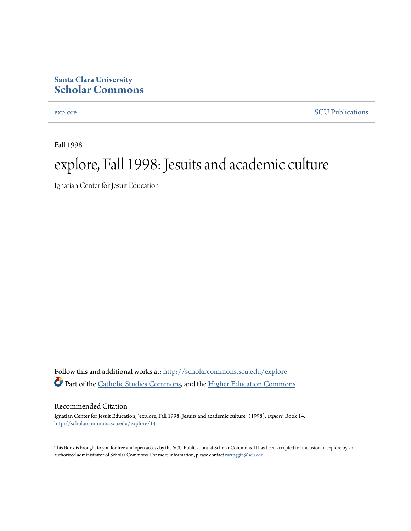#### **Santa Clara University [Scholar Commons](http://scholarcommons.scu.edu?utm_source=scholarcommons.scu.edu%2Fexplore%2F14&utm_medium=PDF&utm_campaign=PDFCoverPages)**

[explore](http://scholarcommons.scu.edu/explore?utm_source=scholarcommons.scu.edu%2Fexplore%2F14&utm_medium=PDF&utm_campaign=PDFCoverPages) [SCU Publications](http://scholarcommons.scu.edu/scu_pubs?utm_source=scholarcommons.scu.edu%2Fexplore%2F14&utm_medium=PDF&utm_campaign=PDFCoverPages)

Fall 1998

## explore, Fall 1998: Jesuits and academic culture

Ignatian Center for Jesuit Education

Follow this and additional works at: [http://scholarcommons.scu.edu/explore](http://scholarcommons.scu.edu/explore?utm_source=scholarcommons.scu.edu%2Fexplore%2F14&utm_medium=PDF&utm_campaign=PDFCoverPages) Part of the [Catholic Studies Commons,](http://network.bepress.com/hgg/discipline/1294?utm_source=scholarcommons.scu.edu%2Fexplore%2F14&utm_medium=PDF&utm_campaign=PDFCoverPages) and the [Higher Education Commons](http://network.bepress.com/hgg/discipline/1245?utm_source=scholarcommons.scu.edu%2Fexplore%2F14&utm_medium=PDF&utm_campaign=PDFCoverPages)

#### Recommended Citation

Ignatian Center for Jesuit Education, "explore, Fall 1998: Jesuits and academic culture" (1998). *explore.* Book 14. [http://scholarcommons.scu.edu/explore/14](http://scholarcommons.scu.edu/explore/14?utm_source=scholarcommons.scu.edu%2Fexplore%2F14&utm_medium=PDF&utm_campaign=PDFCoverPages)

This Book is brought to you for free and open access by the SCU Publications at Scholar Commons. It has been accepted for inclusion in explore by an authorized administrator of Scholar Commons. For more information, please contact [rscroggin@scu.edu.](mailto:rscroggin@scu.edu)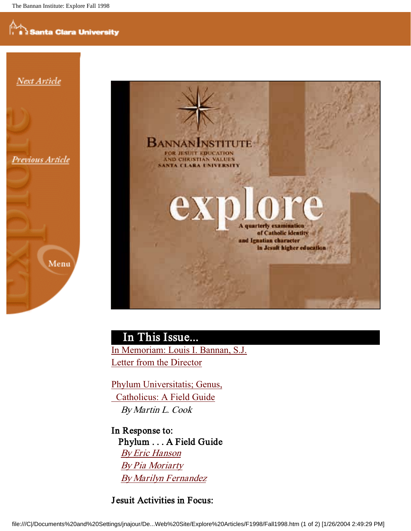

Next Article

Previous Article





## In This Issue... In Memoriam: Louis I. Bannan, S.J.

Letter from the Director

Phylum Universitatis; Genus, Catholicus: A Field Guide By Martin L. Cook

In Response to: Phylum . . . A Field Guide By Eric Hanson By Pia Moriarty By Marilyn Fernandez

**Jesuit Activities in Focus:**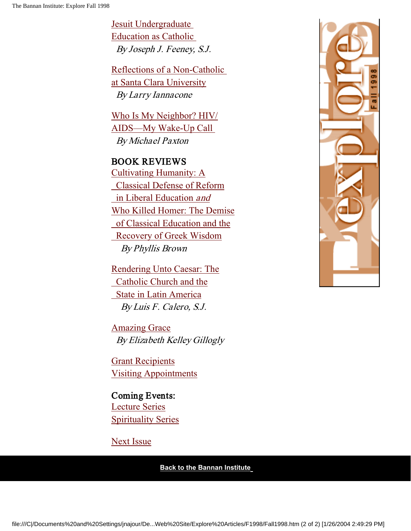Jesuit Undergraduate Education as Catholic By Joseph J. Feeney, S.J.

Reflections of a Non-Catholic at Santa Clara University By Larry Iannacone

Who Is My Neighbor? HIV/ AIDS—My Wake-Up Call By Michael Paxton

#### BOOK REVIEWS

Cultivating Humanity: A Classical Defense of Reform in Liberal Education and Who Killed Homer: The Demise of Classical Education and the Recovery of Greek Wisdom By Phyllis Brown

Rendering Unto Caesar: The Catholic Church and the State in Latin America By Luis F. Calero, S.J.

Amazing Grace By Elizabeth Kelley Gillogly

Grant Recipients Visiting Appointments

Coming Events: Lecture Series Spirituality Series

Next Issue

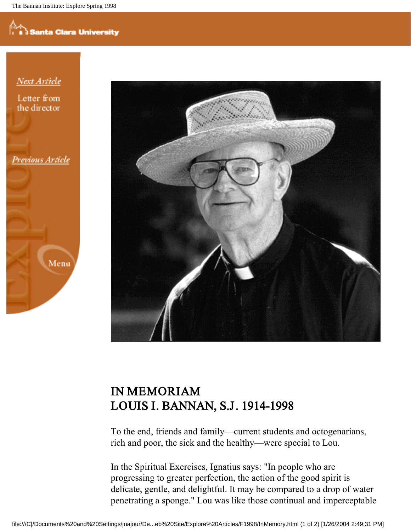## nta Clara University

Next Article

Letter from the director

Previous Article

Menu



### IN MEMORIAM LOUIS I. BANNAN, S.J. 1914-1998

To the end, friends and family—current students and octogenarians, rich and poor, the sick and the healthy—were special to Lou.

In the Spiritual Exercises, Ignatius says: "In people who are progressing to greater perfection, the action of the good spirit is delicate, gentle, and delightful. It may be compared to a drop of water penetrating a sponge." Lou was like those continual and imperceptable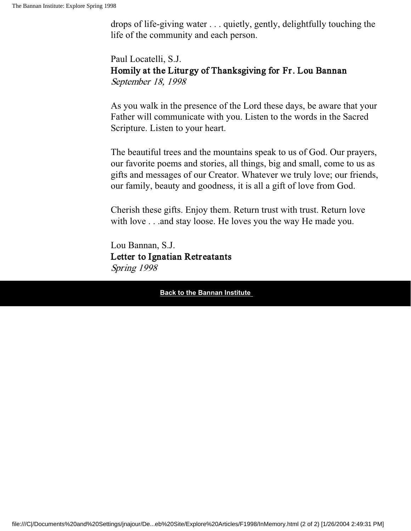drops of life-giving water . . . quietly, gently, delightfully touching the life of the community and each person.

Paul Locatelli, S.J. Homily at the Liturgy of Thanksgiving for Fr. Lou Bannan September 18, 1998

As you walk in the presence of the Lord these days, be aware that your Father will communicate with you. Listen to the words in the Sacred Scripture. Listen to your heart.

The beautiful trees and the mountains speak to us of God. Our prayers, our favorite poems and stories, all things, big and small, come to us as gifts and messages of our Creator. Whatever we truly love; our friends, our family, beauty and goodness, it is all a gift of love from God.

Cherish these gifts. Enjoy them. Return trust with trust. Return love with love . . .and stay loose. He loves you the way He made you.

Lou Bannan, S.J. Letter to Ignatian Retreatants Spring 1998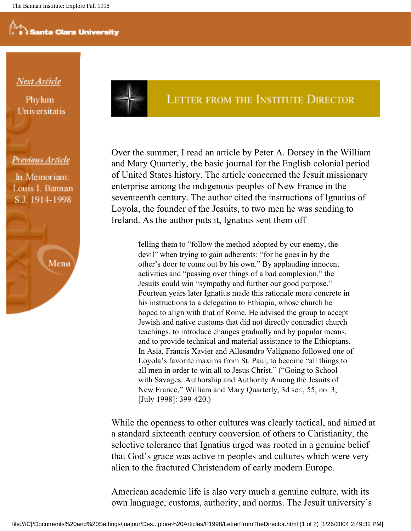#### <u>Next Article</u>

Phylum Universitatis

#### Previous Article

In Memoriam: Louis I. Bannan S.J. 1914-1998



#### LETTER FROM THE INSTITUTE DIRECTOR

Over the summer, I read an article by Peter A. Dorsey in the William and Mary Quarterly, the basic journal for the English colonial period of United States history. The article concerned the Jesuit missionary enterprise among the indigenous peoples of New France in the seventeenth century. The author cited the instructions of Ignatius of Loyola, the founder of the Jesuits, to two men he was sending to Ireland. As the author puts it, Ignatius sent them off

> telling them to "follow the method adopted by our enemy, the devil" when trying to gain adherents: "for he goes in by the other's door to come out by his own." By applauding innocent activities and "passing over things of a bad complexion," the Jesuits could win "sympathy and further our good purpose." Fourteen years later Ignatius made this rationale more concrete in his instructions to a delegation to Ethiopia, whose church he hoped to align with that of Rome. He advised the group to accept Jewish and native customs that did not directly contradict church teachings, to introduce changes gradually and by popular means, and to provide technical and material assistance to the Ethiopians. In Asia, Francis Xavier and Allesandro Valignano followed one of Loyola's favorite maxims from St. Paul, to become "all things to all men in order to win all to Jesus Christ." ("Going to School with Savages: Authorship and Authority Among the Jesuits of New France," William and Mary Quarterly, 3d ser., 55, no. 3, [July 1998]: 399-420.)

While the openness to other cultures was clearly tactical, and aimed at a standard sixteenth century conversion of others to Christianity, the selective tolerance that Ignatius urged was rooted in a genuine belief that God's grace was active in peoples and cultures which were very alien to the fractured Christendom of early modern Europe.

American academic life is also very much a genuine culture, with its own language, customs, authority, and norms. The Jesuit university's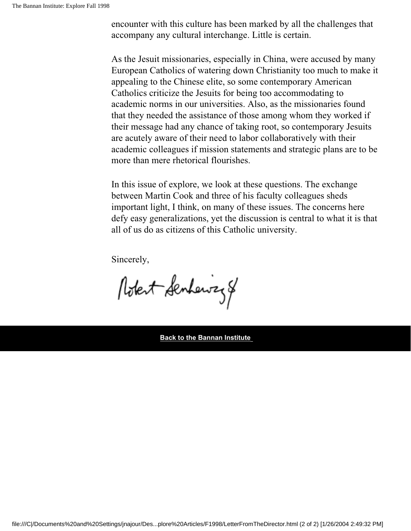encounter with this culture has been marked by all the challenges that accompany any cultural interchange. Little is certain.

As the Jesuit missionaries, especially in China, were accused by many European Catholics of watering down Christianity too much to make it appealing to the Chinese elite, so some contemporary American Catholics criticize the Jesuits for being too accommodating to academic norms in our universities. Also, as the missionaries found that they needed the assistance of those among whom they worked if their message had any chance of taking root, so contemporary Jesuits are acutely aware of their need to labor collaboratively with their academic colleagues if mission statements and strategic plans are to be more than mere rhetorical flourishes.

In this issue of explore, we look at these questions. The exchange between Martin Cook and three of his faculty colleagues sheds important light, I think, on many of these issues. The concerns here defy easy generalizations, yet the discussion is central to what it is that all of us do as citizens of this Catholic university.

Sincerely,

Robert Senhewizz 8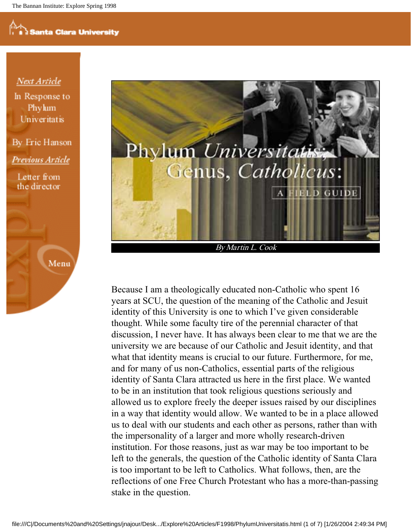#### **Next Article**

In Response to Phylum **Univeritatis** 

By Fric Hanson Previous Article

Letter from the director





Because I am a theologically educated non-Catholic who spent 16 years at SCU, the question of the meaning of the Catholic and Jesuit identity of this University is one to which I've given considerable thought. While some faculty tire of the perennial character of that discussion, I never have. It has always been clear to me that we are the university we are because of our Catholic and Jesuit identity, and that what that identity means is crucial to our future. Furthermore, for me, and for many of us non-Catholics, essential parts of the religious identity of Santa Clara attracted us here in the first place. We wanted to be in an institution that took religious questions seriously and allowed us to explore freely the deeper issues raised by our disciplines in a way that identity would allow. We wanted to be in a place allowed us to deal with our students and each other as persons, rather than with the impersonality of a larger and more wholly research-driven institution. For those reasons, just as war may be too important to be left to the generals, the question of the Catholic identity of Santa Clara is too important to be left to Catholics. What follows, then, are the reflections of one Free Church Protestant who has a more-than-passing stake in the question.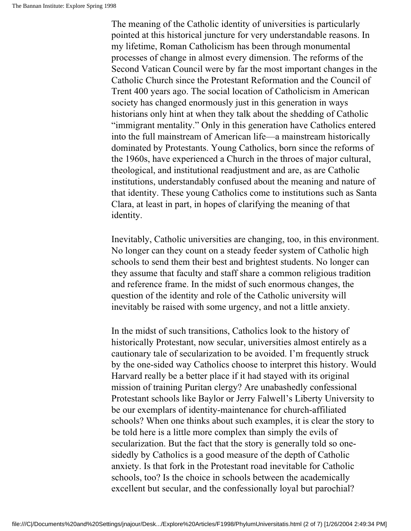The meaning of the Catholic identity of universities is particularly pointed at this historical juncture for very understandable reasons. In my lifetime, Roman Catholicism has been through monumental processes of change in almost every dimension. The reforms of the Second Vatican Council were by far the most important changes in the Catholic Church since the Protestant Reformation and the Council of Trent 400 years ago. The social location of Catholicism in American society has changed enormously just in this generation in ways historians only hint at when they talk about the shedding of Catholic "immigrant mentality." Only in this generation have Catholics entered into the full mainstream of American life—a mainstream historically dominated by Protestants. Young Catholics, born since the reforms of the 1960s, have experienced a Church in the throes of major cultural, theological, and institutional readjustment and are, as are Catholic institutions, understandably confused about the meaning and nature of that identity. These young Catholics come to institutions such as Santa Clara, at least in part, in hopes of clarifying the meaning of that identity.

Inevitably, Catholic universities are changing, too, in this environment. No longer can they count on a steady feeder system of Catholic high schools to send them their best and brightest students. No longer can they assume that faculty and staff share a common religious tradition and reference frame. In the midst of such enormous changes, the question of the identity and role of the Catholic university will inevitably be raised with some urgency, and not a little anxiety.

In the midst of such transitions, Catholics look to the history of historically Protestant, now secular, universities almost entirely as a cautionary tale of secularization to be avoided. I'm frequently struck by the one-sided way Catholics choose to interpret this history. Would Harvard really be a better place if it had stayed with its original mission of training Puritan clergy? Are unabashedly confessional Protestant schools like Baylor or Jerry Falwell's Liberty University to be our exemplars of identity-maintenance for church-affiliated schools? When one thinks about such examples, it is clear the story to be told here is a little more complex than simply the evils of secularization. But the fact that the story is generally told so onesidedly by Catholics is a good measure of the depth of Catholic anxiety. Is that fork in the Protestant road inevitable for Catholic schools, too? Is the choice in schools between the academically excellent but secular, and the confessionally loyal but parochial?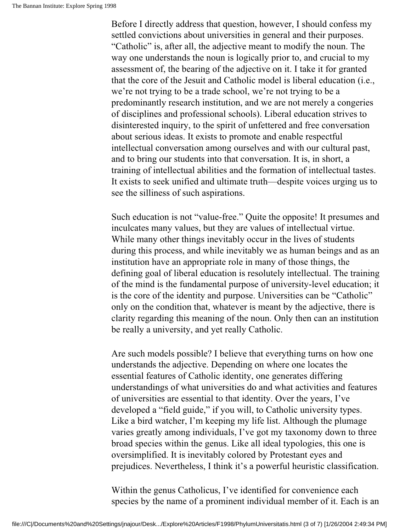Before I directly address that question, however, I should confess my settled convictions about universities in general and their purposes. "Catholic" is, after all, the adjective meant to modify the noun. The way one understands the noun is logically prior to, and crucial to my assessment of, the bearing of the adjective on it. I take it for granted that the core of the Jesuit and Catholic model is liberal education (i.e., we're not trying to be a trade school, we're not trying to be a predominantly research institution, and we are not merely a congeries of disciplines and professional schools). Liberal education strives to disinterested inquiry, to the spirit of unfettered and free conversation about serious ideas. It exists to promote and enable respectful intellectual conversation among ourselves and with our cultural past, and to bring our students into that conversation. It is, in short, a training of intellectual abilities and the formation of intellectual tastes. It exists to seek unified and ultimate truth—despite voices urging us to see the silliness of such aspirations.

Such education is not "value-free." Quite the opposite! It presumes and inculcates many values, but they are values of intellectual virtue. While many other things inevitably occur in the lives of students during this process, and while inevitably we as human beings and as an institution have an appropriate role in many of those things, the defining goal of liberal education is resolutely intellectual. The training of the mind is the fundamental purpose of university-level education; it is the core of the identity and purpose. Universities can be "Catholic" only on the condition that, whatever is meant by the adjective, there is clarity regarding this meaning of the noun. Only then can an institution be really a university, and yet really Catholic.

Are such models possible? I believe that everything turns on how one understands the adjective. Depending on where one locates the essential features of Catholic identity, one generates differing understandings of what universities do and what activities and features of universities are essential to that identity. Over the years, I've developed a "field guide," if you will, to Catholic university types. Like a bird watcher, I'm keeping my life list. Although the plumage varies greatly among individuals, I've got my taxonomy down to three broad species within the genus. Like all ideal typologies, this one is oversimplified. It is inevitably colored by Protestant eyes and prejudices. Nevertheless, I think it's a powerful heuristic classification.

Within the genus Catholicus, I've identified for convenience each species by the name of a prominent individual member of it. Each is an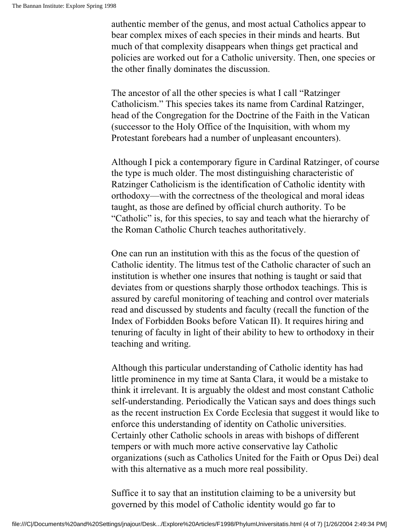authentic member of the genus, and most actual Catholics appear to bear complex mixes of each species in their minds and hearts. But much of that complexity disappears when things get practical and policies are worked out for a Catholic university. Then, one species or the other finally dominates the discussion.

The ancestor of all the other species is what I call "Ratzinger Catholicism." This species takes its name from Cardinal Ratzinger, head of the Congregation for the Doctrine of the Faith in the Vatican (successor to the Holy Office of the Inquisition, with whom my Protestant forebears had a number of unpleasant encounters).

Although I pick a contemporary figure in Cardinal Ratzinger, of course the type is much older. The most distinguishing characteristic of Ratzinger Catholicism is the identification of Catholic identity with orthodoxy—with the correctness of the theological and moral ideas taught, as those are defined by official church authority. To be "Catholic" is, for this species, to say and teach what the hierarchy of the Roman Catholic Church teaches authoritatively.

One can run an institution with this as the focus of the question of Catholic identity. The litmus test of the Catholic character of such an institution is whether one insures that nothing is taught or said that deviates from or questions sharply those orthodox teachings. This is assured by careful monitoring of teaching and control over materials read and discussed by students and faculty (recall the function of the Index of Forbidden Books before Vatican II). It requires hiring and tenuring of faculty in light of their ability to hew to orthodoxy in their teaching and writing.

Although this particular understanding of Catholic identity has had little prominence in my time at Santa Clara, it would be a mistake to think it irrelevant. It is arguably the oldest and most constant Catholic self-understanding. Periodically the Vatican says and does things such as the recent instruction Ex Corde Ecclesia that suggest it would like to enforce this understanding of identity on Catholic universities. Certainly other Catholic schools in areas with bishops of different tempers or with much more active conservative lay Catholic organizations (such as Catholics United for the Faith or Opus Dei) deal with this alternative as a much more real possibility.

Suffice it to say that an institution claiming to be a university but governed by this model of Catholic identity would go far to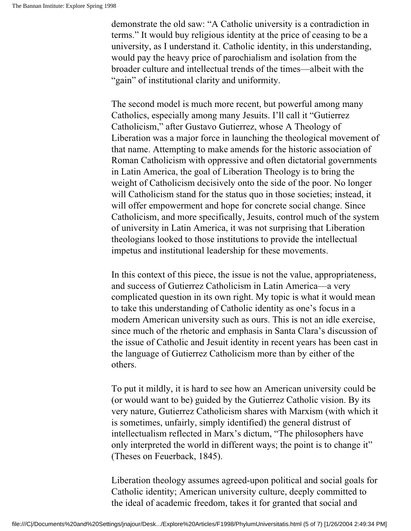demonstrate the old saw: "A Catholic university is a contradiction in terms." It would buy religious identity at the price of ceasing to be a university, as I understand it. Catholic identity, in this understanding, would pay the heavy price of parochialism and isolation from the broader culture and intellectual trends of the times—albeit with the "gain" of institutional clarity and uniformity.

The second model is much more recent, but powerful among many Catholics, especially among many Jesuits. I'll call it "Gutierrez Catholicism," after Gustavo Gutierrez, whose A Theology of Liberation was a major force in launching the theological movement of that name. Attempting to make amends for the historic association of Roman Catholicism with oppressive and often dictatorial governments in Latin America, the goal of Liberation Theology is to bring the weight of Catholicism decisively onto the side of the poor. No longer will Catholicism stand for the status quo in those societies; instead, it will offer empowerment and hope for concrete social change. Since Catholicism, and more specifically, Jesuits, control much of the system of university in Latin America, it was not surprising that Liberation theologians looked to those institutions to provide the intellectual impetus and institutional leadership for these movements.

In this context of this piece, the issue is not the value, appropriateness, and success of Gutierrez Catholicism in Latin America—a very complicated question in its own right. My topic is what it would mean to take this understanding of Catholic identity as one's focus in a modern American university such as ours. This is not an idle exercise, since much of the rhetoric and emphasis in Santa Clara's discussion of the issue of Catholic and Jesuit identity in recent years has been cast in the language of Gutierrez Catholicism more than by either of the others.

To put it mildly, it is hard to see how an American university could be (or would want to be) guided by the Gutierrez Catholic vision. By its very nature, Gutierrez Catholicism shares with Marxism (with which it is sometimes, unfairly, simply identified) the general distrust of intellectualism reflected in Marx's dictum, "The philosophers have only interpreted the world in different ways; the point is to change it" (Theses on Feuerback, 1845).

Liberation theology assumes agreed-upon political and social goals for Catholic identity; American university culture, deeply committed to the ideal of academic freedom, takes it for granted that social and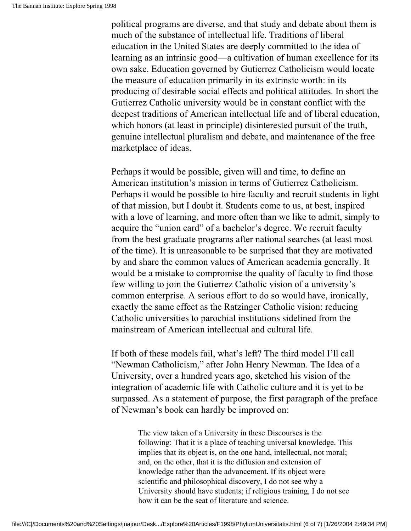political programs are diverse, and that study and debate about them is much of the substance of intellectual life. Traditions of liberal education in the United States are deeply committed to the idea of learning as an intrinsic good—a cultivation of human excellence for its own sake. Education governed by Gutierrez Catholicism would locate the measure of education primarily in its extrinsic worth: in its producing of desirable social effects and political attitudes. In short the Gutierrez Catholic university would be in constant conflict with the deepest traditions of American intellectual life and of liberal education, which honors (at least in principle) disinterested pursuit of the truth, genuine intellectual pluralism and debate, and maintenance of the free marketplace of ideas.

Perhaps it would be possible, given will and time, to define an American institution's mission in terms of Gutierrez Catholicism. Perhaps it would be possible to hire faculty and recruit students in light of that mission, but I doubt it. Students come to us, at best, inspired with a love of learning, and more often than we like to admit, simply to acquire the "union card" of a bachelor's degree. We recruit faculty from the best graduate programs after national searches (at least most of the time). It is unreasonable to be surprised that they are motivated by and share the common values of American academia generally. It would be a mistake to compromise the quality of faculty to find those few willing to join the Gutierrez Catholic vision of a university's common enterprise. A serious effort to do so would have, ironically, exactly the same effect as the Ratzinger Catholic vision: reducing Catholic universities to parochial institutions sidelined from the mainstream of American intellectual and cultural life.

If both of these models fail, what's left? The third model I'll call "Newman Catholicism," after John Henry Newman. The Idea of a University, over a hundred years ago, sketched his vision of the integration of academic life with Catholic culture and it is yet to be surpassed. As a statement of purpose, the first paragraph of the preface of Newman's book can hardly be improved on:

> The view taken of a University in these Discourses is the following: That it is a place of teaching universal knowledge. This implies that its object is, on the one hand, intellectual, not moral; and, on the other, that it is the diffusion and extension of knowledge rather than the advancement. If its object were scientific and philosophical discovery, I do not see why a University should have students; if religious training, I do not see how it can be the seat of literature and science.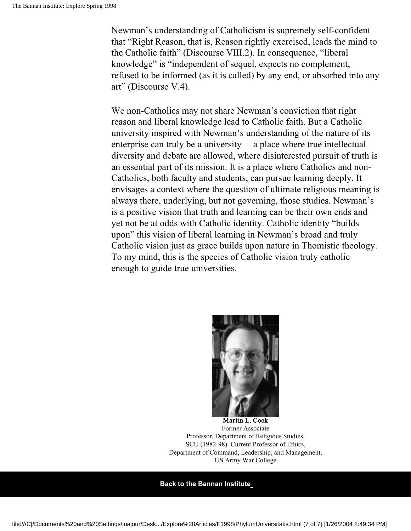Newman's understanding of Catholicism is supremely self-confident that "Right Reason, that is, Reason rightly exercised, leads the mind to the Catholic faith" (Discourse VIII.2). In consequence, "liberal knowledge" is "independent of sequel, expects no complement, refused to be informed (as it is called) by any end, or absorbed into any art" (Discourse V.4).

We non-Catholics may not share Newman's conviction that right reason and liberal knowledge lead to Catholic faith. But a Catholic university inspired with Newman's understanding of the nature of its enterprise can truly be a university— a place where true intellectual diversity and debate are allowed, where disinterested pursuit of truth is an essential part of its mission. It is a place where Catholics and non-Catholics, both faculty and students, can pursue learning deeply. It envisages a context where the question of ultimate religious meaning is always there, underlying, but not governing, those studies. Newman's is a positive vision that truth and learning can be their own ends and yet not be at odds with Catholic identity. Catholic identity "builds upon" this vision of liberal learning in Newman's broad and truly Catholic vision just as grace builds upon nature in Thomistic theology. To my mind, this is the species of Catholic vision truly catholic enough to guide true universities.



Martin L. Cook Former Associate Professor, Department of Religious Studies, SCU (1982-98). Current Professor of Ethics, Department of Command, Leadership, and Management, US Army War College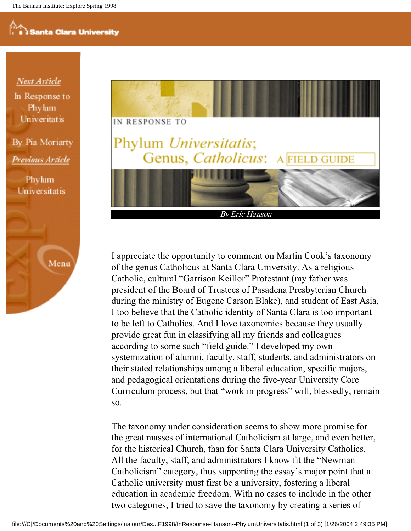#### **Next Article**

In Response to Phylum **Univeritatis** 

By Pia Moriarty Previous Article

Phylum Universitatis





I appreciate the opportunity to comment on Martin Cook's taxonomy of the genus Catholicus at Santa Clara University. As a religious Catholic, cultural "Garrison Keillor" Protestant (my father was president of the Board of Trustees of Pasadena Presbyterian Church during the ministry of Eugene Carson Blake), and student of East Asia, I too believe that the Catholic identity of Santa Clara is too important to be left to Catholics. And I love taxonomies because they usually provide great fun in classifying all my friends and colleagues according to some such "field guide." I developed my own systemization of alumni, faculty, staff, students, and administrators on their stated relationships among a liberal education, specific majors, and pedagogical orientations during the five-year University Core Curriculum process, but that "work in progress" will, blessedly, remain so.

The taxonomy under consideration seems to show more promise for the great masses of international Catholicism at large, and even better, for the historical Church, than for Santa Clara University Catholics. All the faculty, staff, and administrators I know fit the "Newman Catholicism" category, thus supporting the essay's major point that a Catholic university must first be a university, fostering a liberal education in academic freedom. With no cases to include in the other two categories, I tried to save the taxonomy by creating a series of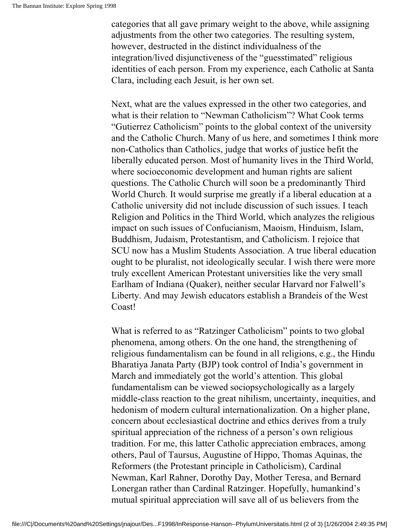categories that all gave primary weight to the above, while assigning adjustments from the other two categories. The resulting system, however, destructed in the distinct individualness of the integration/lived disjunctiveness of the "guesstimated" religious identities of each person. From my experience, each Catholic at Santa Clara, including each Jesuit, is her own set.

Next, what are the values expressed in the other two categories, and what is their relation to "Newman Catholicism"? What Cook terms "Gutierrez Catholicism" points to the global context of the university and the Catholic Church. Many of us here, and sometimes I think more non-Catholics than Catholics, judge that works of justice befit the liberally educated person. Most of humanity lives in the Third World, where socioeconomic development and human rights are salient questions. The Catholic Church will soon be a predominantly Third World Church. It would surprise me greatly if a liberal education at a Catholic university did not include discussion of such issues. I teach Religion and Politics in the Third World, which analyzes the religious impact on such issues of Confucianism, Maoism, Hinduism, Islam, Buddhism, Judaism, Protestantism, and Catholicism. I rejoice that SCU now has a Muslim Students Association. A true liberal education ought to be pluralist, not ideologically secular. I wish there were more truly excellent American Protestant universities like the very small Earlham of Indiana (Quaker), neither secular Harvard nor Falwell's Liberty. And may Jewish educators establish a Brandeis of the West Coast!

What is referred to as "Ratzinger Catholicism" points to two global phenomena, among others. On the one hand, the strengthening of religious fundamentalism can be found in all religions, e.g., the Hindu Bharatiya Janata Party (BJP) took control of India's government in March and immediately got the world's attention. This global fundamentalism can be viewed sociopsychologically as a largely middle-class reaction to the great nihilism, uncertainty, inequities, and hedonism of modern cultural internationalization. On a higher plane, concern about ecclesiastical doctrine and ethics derives from a truly spiritual appreciation of the richness of a person's own religious tradition. For me, this latter Catholic appreciation embraces, among others, Paul of Taursus, Augustine of Hippo, Thomas Aquinas, the Reformers (the Protestant principle in Catholicism), Cardinal Newman, Karl Rahner, Dorothy Day, Mother Teresa, and Bernard Lonergan rather than Cardinal Ratzinger. Hopefully, humankind's mutual spiritual appreciation will save all of us believers from the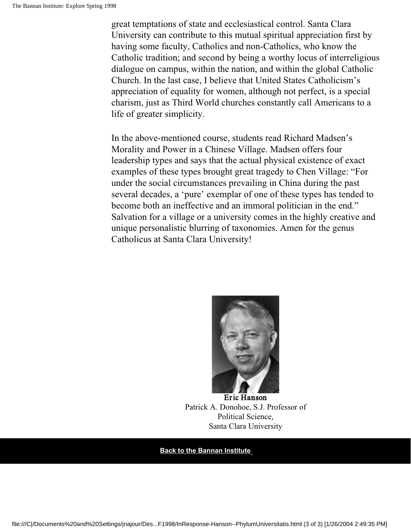great temptations of state and ecclesiastical control. Santa Clara University can contribute to this mutual spiritual appreciation first by having some faculty, Catholics and non-Catholics, who know the Catholic tradition; and second by being a worthy locus of interreligious dialogue on campus, within the nation, and within the global Catholic Church. In the last case, I believe that United States Catholicism's appreciation of equality for women, although not perfect, is a special charism, just as Third World churches constantly call Americans to a life of greater simplicity.

In the above-mentioned course, students read Richard Madsen's Morality and Power in a Chinese Village. Madsen offers four leadership types and says that the actual physical existence of exact examples of these types brought great tragedy to Chen Village: "For under the social circumstances prevailing in China during the past several decades, a 'pure' exemplar of one of these types has tended to become both an ineffective and an immoral politician in the end." Salvation for a village or a university comes in the highly creative and unique personalistic blurring of taxonomies. Amen for the genus Catholicus at Santa Clara University!



Eric Hanson Patrick A. Donohoe, S.J. Professor of Political Science, Santa Clara University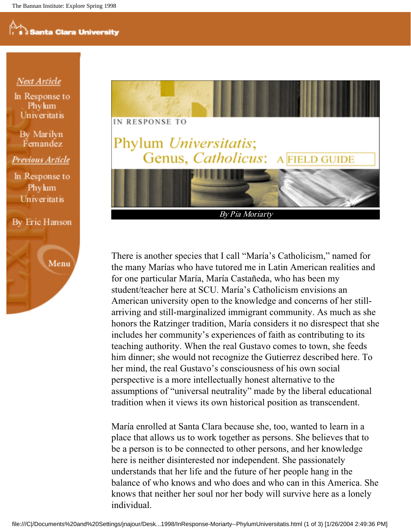#### **Next Article**

In Response to Phylum Univeritatis

By Marilyn Femandez

Previous Article

In Response to Phylum Univeritatis

By Eric Hanson

Menu



By Pia Moriarty

There is another species that I call "María's Catholicism," named for the many Marías who have tutored me in Latin American realities and for one particular María, María Castañeda, who has been my student/teacher here at SCU. María's Catholicism envisions an American university open to the knowledge and concerns of her stillarriving and still-marginalized immigrant community. As much as she honors the Ratzinger tradition, María considers it no disrespect that she includes her community's experiences of faith as contributing to its teaching authority. When the real Gustavo comes to town, she feeds him dinner; she would not recognize the Gutierrez described here. To her mind, the real Gustavo's consciousness of his own social perspective is a more intellectually honest alternative to the assumptions of "universal neutrality" made by the liberal educational tradition when it views its own historical position as transcendent.

María enrolled at Santa Clara because she, too, wanted to learn in a place that allows us to work together as persons. She believes that to be a person is to be connected to other persons, and her knowledge here is neither disinterested nor independent. She passionately understands that her life and the future of her people hang in the balance of who knows and who does and who can in this America. She knows that neither her soul nor her body will survive here as a lonely individual.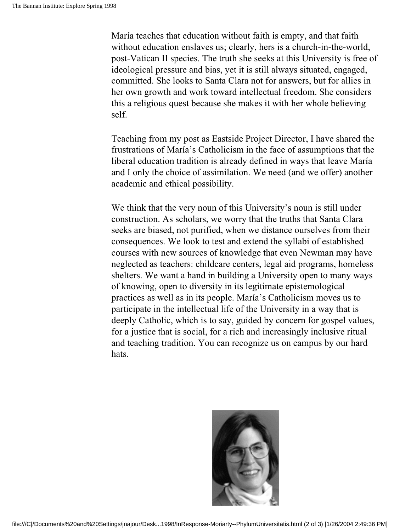María teaches that education without faith is empty, and that faith without education enslaves us; clearly, hers is a church-in-the-world, post-Vatican II species. The truth she seeks at this University is free of ideological pressure and bias, yet it is still always situated, engaged, committed. She looks to Santa Clara not for answers, but for allies in her own growth and work toward intellectual freedom. She considers this a religious quest because she makes it with her whole believing self.

Teaching from my post as Eastside Project Director, I have shared the frustrations of María's Catholicism in the face of assumptions that the liberal education tradition is already defined in ways that leave María and I only the choice of assimilation. We need (and we offer) another academic and ethical possibility.

We think that the very noun of this University's noun is still under construction. As scholars, we worry that the truths that Santa Clara seeks are biased, not purified, when we distance ourselves from their consequences. We look to test and extend the syllabi of established courses with new sources of knowledge that even Newman may have neglected as teachers: childcare centers, legal aid programs, homeless shelters. We want a hand in building a University open to many ways of knowing, open to diversity in its legitimate epistemological practices as well as in its people. María's Catholicism moves us to participate in the intellectual life of the University in a way that is deeply Catholic, which is to say, guided by concern for gospel values, for a justice that is social, for a rich and increasingly inclusive ritual and teaching tradition. You can recognize us on campus by our hard hats.

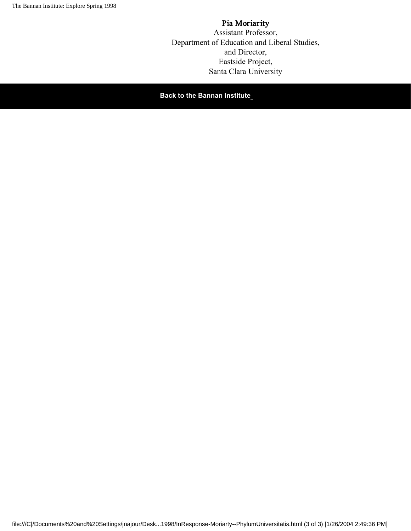#### Pia Moriarity Assistant Professor, Department of Education and Liberal Studies, and Director, Eastside Project, Santa Clara University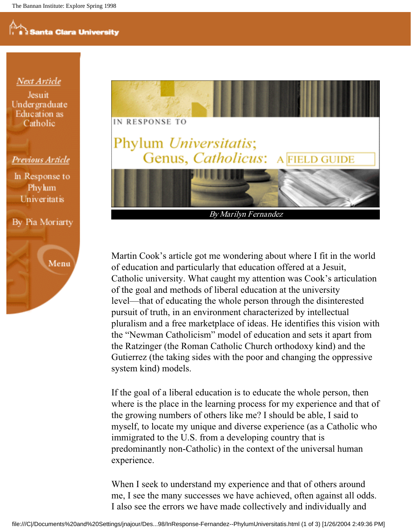#### Next Article

**Jesuit** Undergraduate Education as Catholic

#### Previous Article

In Response to Phylum Univeritatis







By Marilyn Fernandez

Martin Cook's article got me wondering about where I fit in the world of education and particularly that education offered at a Jesuit, Catholic university. What caught my attention was Cook's articulation of the goal and methods of liberal education at the university level—that of educating the whole person through the disinterested pursuit of truth, in an environment characterized by intellectual pluralism and a free marketplace of ideas. He identifies this vision with the "Newman Catholicism" model of education and sets it apart from the Ratzinger (the Roman Catholic Church orthodoxy kind) and the Gutierrez (the taking sides with the poor and changing the oppressive system kind) models.

If the goal of a liberal education is to educate the whole person, then where is the place in the learning process for my experience and that of the growing numbers of others like me? I should be able, I said to myself, to locate my unique and diverse experience (as a Catholic who immigrated to the U.S. from a developing country that is predominantly non-Catholic) in the context of the universal human experience.

When I seek to understand my experience and that of others around me, I see the many successes we have achieved, often against all odds. I also see the errors we have made collectively and individually and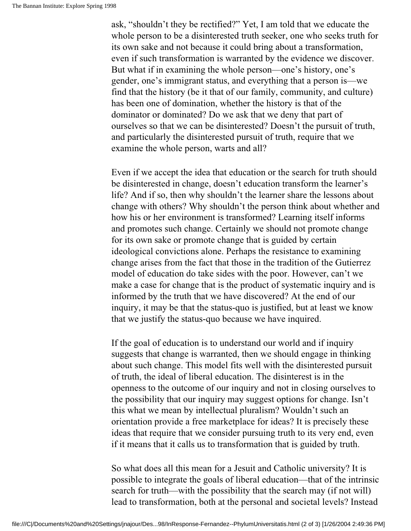ask, "shouldn't they be rectified?" Yet, I am told that we educate the whole person to be a disinterested truth seeker, one who seeks truth for its own sake and not because it could bring about a transformation, even if such transformation is warranted by the evidence we discover. But what if in examining the whole person—one's history, one's gender, one's immigrant status, and everything that a person is—we find that the history (be it that of our family, community, and culture) has been one of domination, whether the history is that of the dominator or dominated? Do we ask that we deny that part of ourselves so that we can be disinterested? Doesn't the pursuit of truth, and particularly the disinterested pursuit of truth, require that we examine the whole person, warts and all?

Even if we accept the idea that education or the search for truth should be disinterested in change, doesn't education transform the learner's life? And if so, then why shouldn't the learner share the lessons about change with others? Why shouldn't the person think about whether and how his or her environment is transformed? Learning itself informs and promotes such change. Certainly we should not promote change for its own sake or promote change that is guided by certain ideological convictions alone. Perhaps the resistance to examining change arises from the fact that those in the tradition of the Gutierrez model of education do take sides with the poor. However, can't we make a case for change that is the product of systematic inquiry and is informed by the truth that we have discovered? At the end of our inquiry, it may be that the status-quo is justified, but at least we know that we justify the status-quo because we have inquired.

If the goal of education is to understand our world and if inquiry suggests that change is warranted, then we should engage in thinking about such change. This model fits well with the disinterested pursuit of truth, the ideal of liberal education. The disinterest is in the openness to the outcome of our inquiry and not in closing ourselves to the possibility that our inquiry may suggest options for change. Isn't this what we mean by intellectual pluralism? Wouldn't such an orientation provide a free marketplace for ideas? It is precisely these ideas that require that we consider pursuing truth to its very end, even if it means that it calls us to transformation that is guided by truth.

So what does all this mean for a Jesuit and Catholic university? It is possible to integrate the goals of liberal education—that of the intrinsic search for truth—with the possibility that the search may (if not will) lead to transformation, both at the personal and societal levels? Instead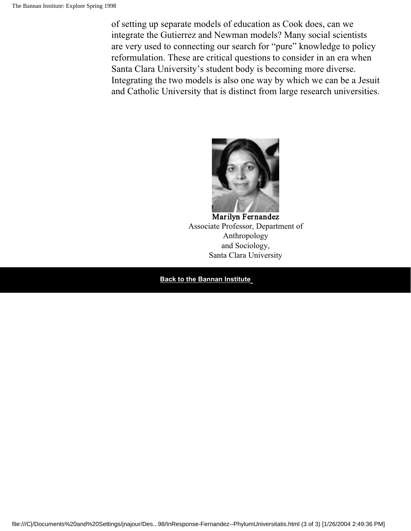of setting up separate models of education as Cook does, can we integrate the Gutierrez and Newman models? Many social scientists are very used to connecting our search for "pure" knowledge to policy reformulation. These are critical questions to consider in an era when Santa Clara University's student body is becoming more diverse. Integrating the two models is also one way by which we can be a Jesuit and Catholic University that is distinct from large research universities.



Marilyn Fernandez Associate Professor, Department of Anthropology and Sociology, Santa Clara University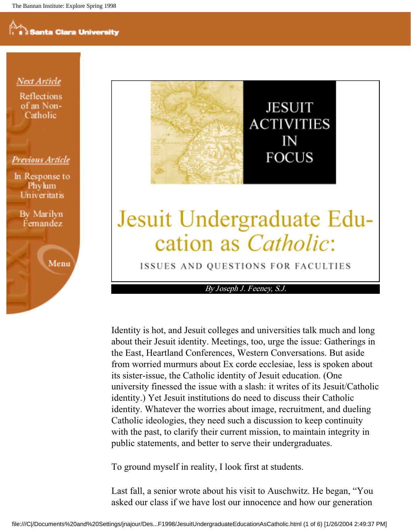Next Article

**Reflections** of an Non-Catholic

#### Previous Article

In Response to Phylum Univeritatis

By Marilyn Femandez

Menu



## Jesuit Undergraduate Education as *Catholic*:

ISSUES AND QUESTIONS FOR FACULTIES

By Joseph J. Feeney, S.J.

Identity is hot, and Jesuit colleges and universities talk much and long about their Jesuit identity. Meetings, too, urge the issue: Gatherings in the East, Heartland Conferences, Western Conversations. But aside from worried murmurs about Ex corde ecclesiae, less is spoken about its sister-issue, the Catholic identity of Jesuit education. (One university finessed the issue with a slash: it writes of its Jesuit/Catholic identity.) Yet Jesuit institutions do need to discuss their Catholic identity. Whatever the worries about image, recruitment, and dueling Catholic ideologies, they need such a discussion to keep continuity with the past, to clarify their current mission, to maintain integrity in public statements, and better to serve their undergraduates.

To ground myself in reality, I look first at students.

Last fall, a senior wrote about his visit to Auschwitz. He began, "You asked our class if we have lost our innocence and how our generation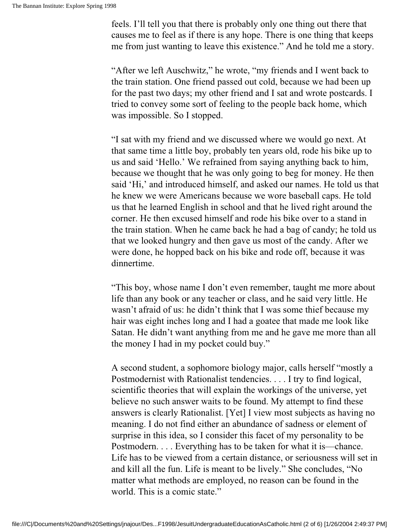feels. I'll tell you that there is probably only one thing out there that causes me to feel as if there is any hope. There is one thing that keeps me from just wanting to leave this existence." And he told me a story.

"After we left Auschwitz," he wrote, "my friends and I went back to the train station. One friend passed out cold, because we had been up for the past two days; my other friend and I sat and wrote postcards. I tried to convey some sort of feeling to the people back home, which was impossible. So I stopped.

"I sat with my friend and we discussed where we would go next. At that same time a little boy, probably ten years old, rode his bike up to us and said 'Hello.' We refrained from saying anything back to him, because we thought that he was only going to beg for money. He then said 'Hi,' and introduced himself, and asked our names. He told us that he knew we were Americans because we wore baseball caps. He told us that he learned English in school and that he lived right around the corner. He then excused himself and rode his bike over to a stand in the train station. When he came back he had a bag of candy; he told us that we looked hungry and then gave us most of the candy. After we were done, he hopped back on his bike and rode off, because it was dinnertime.

"This boy, whose name I don't even remember, taught me more about life than any book or any teacher or class, and he said very little. He wasn't afraid of us: he didn't think that I was some thief because my hair was eight inches long and I had a goatee that made me look like Satan. He didn't want anything from me and he gave me more than all the money I had in my pocket could buy."

A second student, a sophomore biology major, calls herself "mostly a Postmodernist with Rationalist tendencies. . . . I try to find logical, scientific theories that will explain the workings of the universe, yet believe no such answer waits to be found. My attempt to find these answers is clearly Rationalist. [Yet] I view most subjects as having no meaning. I do not find either an abundance of sadness or element of surprise in this idea, so I consider this facet of my personality to be Postmodern. . . . Everything has to be taken for what it is—chance. Life has to be viewed from a certain distance, or seriousness will set in and kill all the fun. Life is meant to be lively." She concludes, "No matter what methods are employed, no reason can be found in the world. This is a comic state."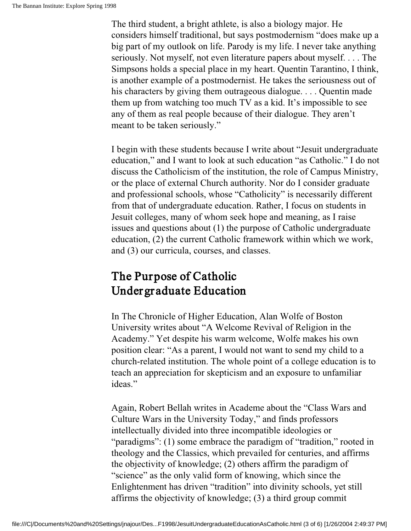The third student, a bright athlete, is also a biology major. He considers himself traditional, but says postmodernism "does make up a big part of my outlook on life. Parody is my life. I never take anything seriously. Not myself, not even literature papers about myself. . . . The Simpsons holds a special place in my heart. Quentin Tarantino, I think, is another example of a postmodernist. He takes the seriousness out of his characters by giving them outrageous dialogue. . . . Quentin made them up from watching too much TV as a kid. It's impossible to see any of them as real people because of their dialogue. They aren't meant to be taken seriously."

I begin with these students because I write about "Jesuit undergraduate education," and I want to look at such education "as Catholic." I do not discuss the Catholicism of the institution, the role of Campus Ministry, or the place of external Church authority. Nor do I consider graduate and professional schools, whose "Catholicity" is necessarily different from that of undergraduate education. Rather, I focus on students in Jesuit colleges, many of whom seek hope and meaning, as I raise issues and questions about (1) the purpose of Catholic undergraduate education, (2) the current Catholic framework within which we work, and (3) our curricula, courses, and classes.

#### The Purpose of Catholic Undergr aduate Education

In The Chronicle of Higher Education, Alan Wolfe of Boston University writes about "A Welcome Revival of Religion in the Academy." Yet despite his warm welcome, Wolfe makes his own position clear: "As a parent, I would not want to send my child to a church-related institution. The whole point of a college education is to teach an appreciation for skepticism and an exposure to unfamiliar ideas."

Again, Robert Bellah writes in Academe about the "Class Wars and Culture Wars in the University Today," and finds professors intellectually divided into three incompatible ideologies or "paradigms": (1) some embrace the paradigm of "tradition," rooted in theology and the Classics, which prevailed for centuries, and affirms the objectivity of knowledge; (2) others affirm the paradigm of "science" as the only valid form of knowing, which since the Enlightenment has driven "tradition" into divinity schools, yet still affirms the objectivity of knowledge; (3) a third group commit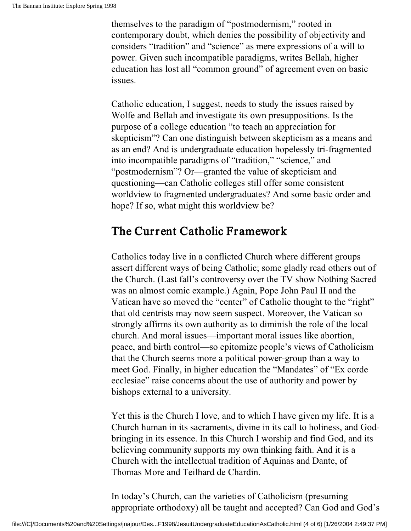themselves to the paradigm of "postmodernism," rooted in contemporary doubt, which denies the possibility of objectivity and considers "tradition" and "science" as mere expressions of a will to power. Given such incompatible paradigms, writes Bellah, higher education has lost all "common ground" of agreement even on basic issues.

Catholic education, I suggest, needs to study the issues raised by Wolfe and Bellah and investigate its own presuppositions. Is the purpose of a college education "to teach an appreciation for skepticism"? Can one distinguish between skepticism as a means and as an end? And is undergraduate education hopelessly tri-fragmented into incompatible paradigms of "tradition," "science," and "postmodernism"? Or—granted the value of skepticism and questioning—can Catholic colleges still offer some consistent worldview to fragmented undergraduates? And some basic order and hope? If so, what might this worldview be?

#### The Current Catholic Framework

Catholics today live in a conflicted Church where different groups assert different ways of being Catholic; some gladly read others out of the Church. (Last fall's controversy over the TV show Nothing Sacred was an almost comic example.) Again, Pope John Paul II and the Vatican have so moved the "center" of Catholic thought to the "right" that old centrists may now seem suspect. Moreover, the Vatican so strongly affirms its own authority as to diminish the role of the local church. And moral issues—important moral issues like abortion, peace, and birth control—so epitomize people's views of Catholicism that the Church seems more a political power-group than a way to meet God. Finally, in higher education the "Mandates" of "Ex corde ecclesiae" raise concerns about the use of authority and power by bishops external to a university.

Yet this is the Church I love, and to which I have given my life. It is a Church human in its sacraments, divine in its call to holiness, and Godbringing in its essence. In this Church I worship and find God, and its believing community supports my own thinking faith. And it is a Church with the intellectual tradition of Aquinas and Dante, of Thomas More and Teilhard de Chardin.

In today's Church, can the varieties of Catholicism (presuming appropriate orthodoxy) all be taught and accepted? Can God and God's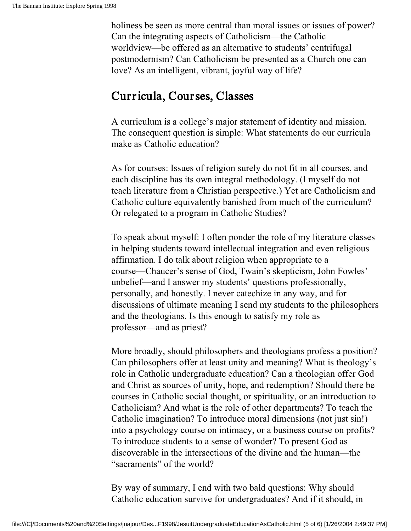holiness be seen as more central than moral issues or issues of power? Can the integrating aspects of Catholicism—the Catholic worldview—be offered as an alternative to students' centrifugal postmodernism? Can Catholicism be presented as a Church one can love? As an intelligent, vibrant, joyful way of life?

#### Curricula, Courses, Classes

A curriculum is a college's major statement of identity and mission. The consequent question is simple: What statements do our curricula make as Catholic education?

As for courses: Issues of religion surely do not fit in all courses, and each discipline has its own integral methodology. (I myself do not teach literature from a Christian perspective.) Yet are Catholicism and Catholic culture equivalently banished from much of the curriculum? Or relegated to a program in Catholic Studies?

To speak about myself: I often ponder the role of my literature classes in helping students toward intellectual integration and even religious affirmation. I do talk about religion when appropriate to a course—Chaucer's sense of God, Twain's skepticism, John Fowles' unbelief—and I answer my students' questions professionally, personally, and honestly. I never catechize in any way, and for discussions of ultimate meaning I send my students to the philosophers and the theologians. Is this enough to satisfy my role as professor—and as priest?

More broadly, should philosophers and theologians profess a position? Can philosophers offer at least unity and meaning? What is theology's role in Catholic undergraduate education? Can a theologian offer God and Christ as sources of unity, hope, and redemption? Should there be courses in Catholic social thought, or spirituality, or an introduction to Catholicism? And what is the role of other departments? To teach the Catholic imagination? To introduce moral dimensions (not just sin!) into a psychology course on intimacy, or a business course on profits? To introduce students to a sense of wonder? To present God as discoverable in the intersections of the divine and the human—the "sacraments" of the world?

By way of summary, I end with two bald questions: Why should Catholic education survive for undergraduates? And if it should, in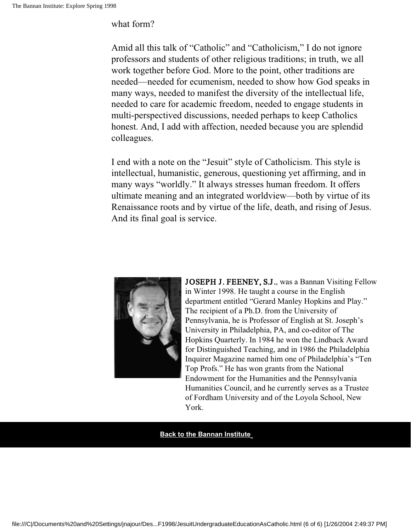what form?

Amid all this talk of "Catholic" and "Catholicism," I do not ignore professors and students of other religious traditions; in truth, we all work together before God. More to the point, other traditions are needed—needed for ecumenism, needed to show how God speaks in many ways, needed to manifest the diversity of the intellectual life, needed to care for academic freedom, needed to engage students in multi-perspectived discussions, needed perhaps to keep Catholics honest. And, I add with affection, needed because you are splendid colleagues.

I end with a note on the "Jesuit" style of Catholicism. This style is intellectual, humanistic, generous, questioning yet affirming, and in many ways "worldly." It always stresses human freedom. It offers ultimate meaning and an integrated worldview—both by virtue of its Renaissance roots and by virtue of the life, death, and rising of Jesus. And its final goal is service.



JOSEPH J. FEENEY, S.J., was a Bannan Visiting Fellow in Winter 1998. He taught a course in the English department entitled "Gerard Manley Hopkins and Play." The recipient of a Ph.D. from the University of Pennsylvania, he is Professor of English at St. Joseph's University in Philadelphia, PA, and co-editor of The Hopkins Quarterly. In 1984 he won the Lindback Award for Distinguished Teaching, and in 1986 the Philadelphia Inquirer Magazine named him one of Philadelphia's "Ten Top Profs." He has won grants from the National Endowment for the Humanities and the Pennsylvania Humanities Council, and he currently serves as a Trustee of Fordham University and of the Loyola School, New York.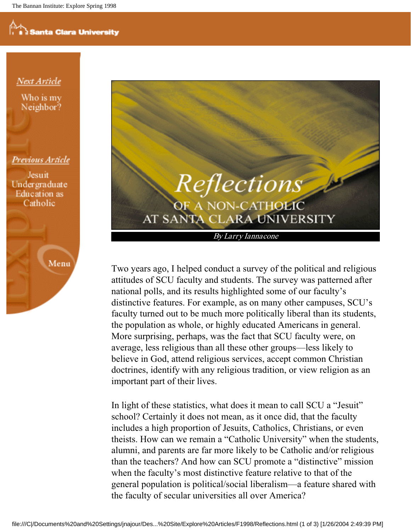**Next Article** 

Who is my Neighbor?

#### Previous Article

Jesuit Undergraduate **Education** as Catholic





Two years ago, I helped conduct a survey of the political and religious attitudes of SCU faculty and students. The survey was patterned after national polls, and its results highlighted some of our faculty's distinctive features. For example, as on many other campuses, SCU's faculty turned out to be much more politically liberal than its students, the population as whole, or highly educated Americans in general. More surprising, perhaps, was the fact that SCU faculty were, on average, less religious than all these other groups—less likely to believe in God, attend religious services, accept common Christian doctrines, identify with any religious tradition, or view religion as an important part of their lives.

In light of these statistics, what does it mean to call SCU a "Jesuit" school? Certainly it does not mean, as it once did, that the faculty includes a high proportion of Jesuits, Catholics, Christians, or even theists. How can we remain a "Catholic University" when the students, alumni, and parents are far more likely to be Catholic and/or religious than the teachers? And how can SCU promote a "distinctive" mission when the faculty's most distinctive feature relative to that of the general population is political/social liberalism—a feature shared with the faculty of secular universities all over America?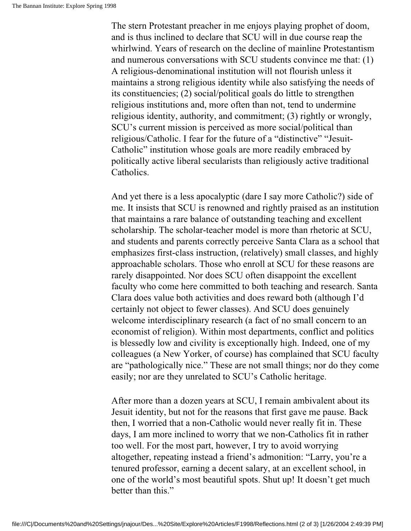The stern Protestant preacher in me enjoys playing prophet of doom, and is thus inclined to declare that SCU will in due course reap the whirlwind. Years of research on the decline of mainline Protestantism and numerous conversations with SCU students convince me that: (1) A religious-denominational institution will not flourish unless it maintains a strong religious identity while also satisfying the needs of its constituencies; (2) social/political goals do little to strengthen religious institutions and, more often than not, tend to undermine religious identity, authority, and commitment; (3) rightly or wrongly, SCU's current mission is perceived as more social/political than religious/Catholic. I fear for the future of a "distinctive" "Jesuit-Catholic" institution whose goals are more readily embraced by politically active liberal secularists than religiously active traditional Catholics.

And yet there is a less apocalyptic (dare I say more Catholic?) side of me. It insists that SCU is renowned and rightly praised as an institution that maintains a rare balance of outstanding teaching and excellent scholarship. The scholar-teacher model is more than rhetoric at SCU, and students and parents correctly perceive Santa Clara as a school that emphasizes first-class instruction, (relatively) small classes, and highly approachable scholars. Those who enroll at SCU for these reasons are rarely disappointed. Nor does SCU often disappoint the excellent faculty who come here committed to both teaching and research. Santa Clara does value both activities and does reward both (although I'd certainly not object to fewer classes). And SCU does genuinely welcome interdisciplinary research (a fact of no small concern to an economist of religion). Within most departments, conflict and politics is blessedly low and civility is exceptionally high. Indeed, one of my colleagues (a New Yorker, of course) has complained that SCU faculty are "pathologically nice." These are not small things; nor do they come easily; nor are they unrelated to SCU's Catholic heritage.

After more than a dozen years at SCU, I remain ambivalent about its Jesuit identity, but not for the reasons that first gave me pause. Back then, I worried that a non-Catholic would never really fit in. These days, I am more inclined to worry that we non-Catholics fit in rather too well. For the most part, however, I try to avoid worrying altogether, repeating instead a friend's admonition: "Larry, you're a tenured professor, earning a decent salary, at an excellent school, in one of the world's most beautiful spots. Shut up! It doesn't get much better than this."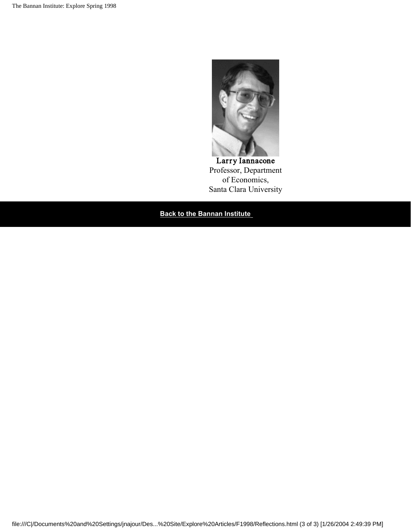

Larry Iannacone Professor, Department of Economics, Santa Clara University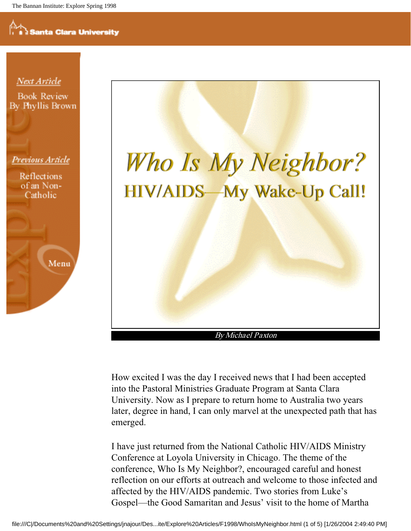



By Michael Paxton

How excited I was the day I received news that I had been accepted into the Pastoral Ministries Graduate Program at Santa Clara University. Now as I prepare to return home to Australia two years later, degree in hand, I can only marvel at the unexpected path that has emerged.

I have just returned from the National Catholic HIV/AIDS Ministry Conference at Loyola University in Chicago. The theme of the conference, Who Is My Neighbor?, encouraged careful and honest reflection on our efforts at outreach and welcome to those infected and affected by the HIV/AIDS pandemic. Two stories from Luke's Gospel—the Good Samaritan and Jesus' visit to the home of Martha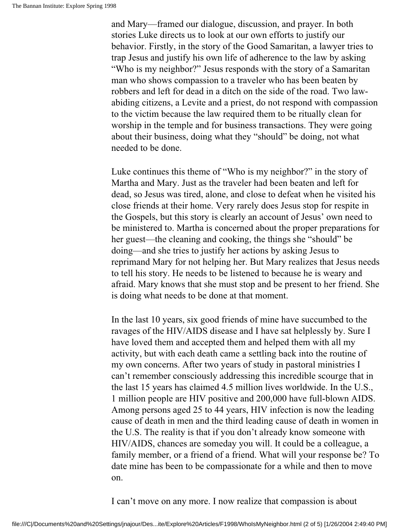and Mary—framed our dialogue, discussion, and prayer. In both stories Luke directs us to look at our own efforts to justify our behavior. Firstly, in the story of the Good Samaritan, a lawyer tries to trap Jesus and justify his own life of adherence to the law by asking "Who is my neighbor?" Jesus responds with the story of a Samaritan man who shows compassion to a traveler who has been beaten by robbers and left for dead in a ditch on the side of the road. Two lawabiding citizens, a Levite and a priest, do not respond with compassion to the victim because the law required them to be ritually clean for worship in the temple and for business transactions. They were going about their business, doing what they "should" be doing, not what needed to be done.

Luke continues this theme of "Who is my neighbor?" in the story of Martha and Mary. Just as the traveler had been beaten and left for dead, so Jesus was tired, alone, and close to defeat when he visited his close friends at their home. Very rarely does Jesus stop for respite in the Gospels, but this story is clearly an account of Jesus' own need to be ministered to. Martha is concerned about the proper preparations for her guest—the cleaning and cooking, the things she "should" be doing—and she tries to justify her actions by asking Jesus to reprimand Mary for not helping her. But Mary realizes that Jesus needs to tell his story. He needs to be listened to because he is weary and afraid. Mary knows that she must stop and be present to her friend. She is doing what needs to be done at that moment.

In the last 10 years, six good friends of mine have succumbed to the ravages of the HIV/AIDS disease and I have sat helplessly by. Sure I have loved them and accepted them and helped them with all my activity, but with each death came a settling back into the routine of my own concerns. After two years of study in pastoral ministries I can't remember consciously addressing this incredible scourge that in the last 15 years has claimed 4.5 million lives worldwide. In the U.S., 1 million people are HIV positive and 200,000 have full-blown AIDS. Among persons aged 25 to 44 years, HIV infection is now the leading cause of death in men and the third leading cause of death in women in the U.S. The reality is that if you don't already know someone with HIV/AIDS, chances are someday you will. It could be a colleague, a family member, or a friend of a friend. What will your response be? To date mine has been to be compassionate for a while and then to move on.

I can't move on any more. I now realize that compassion is about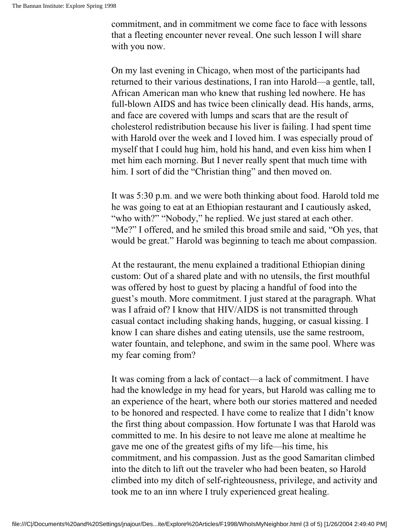commitment, and in commitment we come face to face with lessons that a fleeting encounter never reveal. One such lesson I will share with you now.

On my last evening in Chicago, when most of the participants had returned to their various destinations, I ran into Harold—a gentle, tall, African American man who knew that rushing led nowhere. He has full-blown AIDS and has twice been clinically dead. His hands, arms, and face are covered with lumps and scars that are the result of cholesterol redistribution because his liver is failing. I had spent time with Harold over the week and I loved him. I was especially proud of myself that I could hug him, hold his hand, and even kiss him when I met him each morning. But I never really spent that much time with him. I sort of did the "Christian thing" and then moved on.

It was 5:30 p.m. and we were both thinking about food. Harold told me he was going to eat at an Ethiopian restaurant and I cautiously asked, "who with?" "Nobody," he replied. We just stared at each other. "Me?" I offered, and he smiled this broad smile and said, "Oh yes, that would be great." Harold was beginning to teach me about compassion.

At the restaurant, the menu explained a traditional Ethiopian dining custom: Out of a shared plate and with no utensils, the first mouthful was offered by host to guest by placing a handful of food into the guest's mouth. More commitment. I just stared at the paragraph. What was I afraid of? I know that HIV/AIDS is not transmitted through casual contact including shaking hands, hugging, or casual kissing. I know I can share dishes and eating utensils, use the same restroom, water fountain, and telephone, and swim in the same pool. Where was my fear coming from?

It was coming from a lack of contact—a lack of commitment. I have had the knowledge in my head for years, but Harold was calling me to an experience of the heart, where both our stories mattered and needed to be honored and respected. I have come to realize that I didn't know the first thing about compassion. How fortunate I was that Harold was committed to me. In his desire to not leave me alone at mealtime he gave me one of the greatest gifts of my life—his time, his commitment, and his compassion. Just as the good Samaritan climbed into the ditch to lift out the traveler who had been beaten, so Harold climbed into my ditch of self-righteousness, privilege, and activity and took me to an inn where I truly experienced great healing.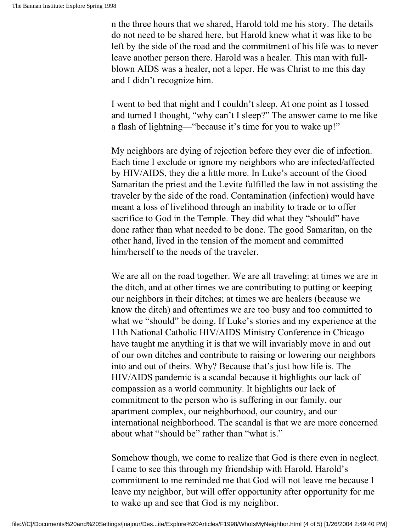n the three hours that we shared, Harold told me his story. The details do not need to be shared here, but Harold knew what it was like to be left by the side of the road and the commitment of his life was to never leave another person there. Harold was a healer. This man with fullblown AIDS was a healer, not a leper. He was Christ to me this day and I didn't recognize him.

I went to bed that night and I couldn't sleep. At one point as I tossed and turned I thought, "why can't I sleep?" The answer came to me like a flash of lightning—"because it's time for you to wake up!"

My neighbors are dying of rejection before they ever die of infection. Each time I exclude or ignore my neighbors who are infected/affected by HIV/AIDS, they die a little more. In Luke's account of the Good Samaritan the priest and the Levite fulfilled the law in not assisting the traveler by the side of the road. Contamination (infection) would have meant a loss of livelihood through an inability to trade or to offer sacrifice to God in the Temple. They did what they "should" have done rather than what needed to be done. The good Samaritan, on the other hand, lived in the tension of the moment and committed him/herself to the needs of the traveler.

We are all on the road together. We are all traveling: at times we are in the ditch, and at other times we are contributing to putting or keeping our neighbors in their ditches; at times we are healers (because we know the ditch) and oftentimes we are too busy and too committed to what we "should" be doing. If Luke's stories and my experience at the 11th National Catholic HIV/AIDS Ministry Conference in Chicago have taught me anything it is that we will invariably move in and out of our own ditches and contribute to raising or lowering our neighbors into and out of theirs. Why? Because that's just how life is. The HIV/AIDS pandemic is a scandal because it highlights our lack of compassion as a world community. It highlights our lack of commitment to the person who is suffering in our family, our apartment complex, our neighborhood, our country, and our international neighborhood. The scandal is that we are more concerned about what "should be" rather than "what is."

Somehow though, we come to realize that God is there even in neglect. I came to see this through my friendship with Harold. Harold's commitment to me reminded me that God will not leave me because I leave my neighbor, but will offer opportunity after opportunity for me to wake up and see that God is my neighbor.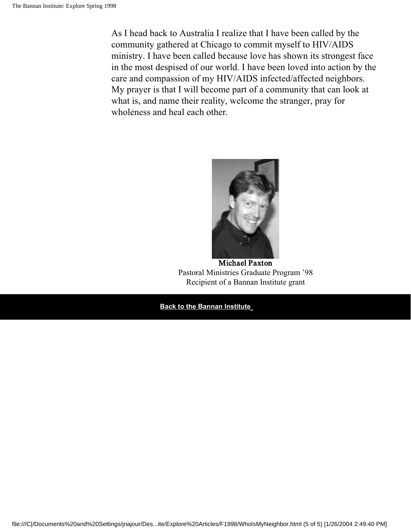As I head back to Australia I realize that I have been called by the community gathered at Chicago to commit myself to HIV/AIDS ministry. I have been called because love has shown its strongest face in the most despised of our world. I have been loved into action by the care and compassion of my HIV/AIDS infected/affected neighbors. My prayer is that I will become part of a community that can look at what is, and name their reality, welcome the stranger, pray for wholeness and heal each other.



Michael Paxton Pastoral Ministries Graduate Program '98 Recipient of a Bannan Institute grant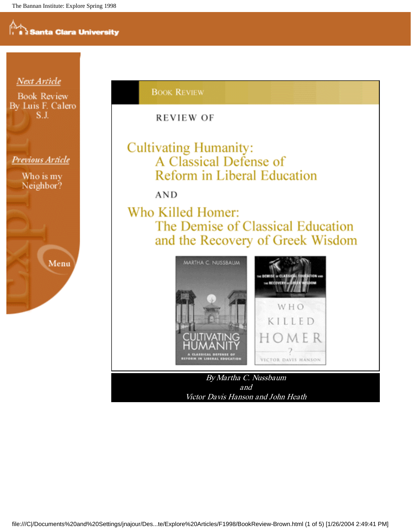

#### **BOOK REVIEW**

REVIEW OF

#### **Cultivating Humanity:** A Classical Defense of Reform in Liberal Education

**AND** 

Who Killed Homer: The Demise of Classical Education and the Recovery of Greek Wisdom



By Martha C. Nussbaum and Victor Davis Hanson and John Heath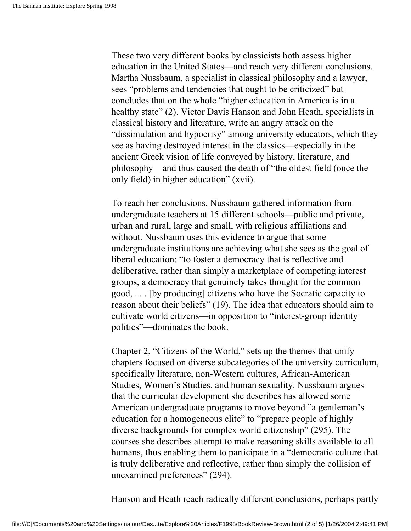These two very different books by classicists both assess higher education in the United States—and reach very different conclusions. Martha Nussbaum, a specialist in classical philosophy and a lawyer, sees "problems and tendencies that ought to be criticized" but concludes that on the whole "higher education in America is in a healthy state" (2). Victor Davis Hanson and John Heath, specialists in classical history and literature, write an angry attack on the "dissimulation and hypocrisy" among university educators, which they see as having destroyed interest in the classics—especially in the ancient Greek vision of life conveyed by history, literature, and philosophy—and thus caused the death of "the oldest field (once the only field) in higher education" (xvii).

To reach her conclusions, Nussbaum gathered information from undergraduate teachers at 15 different schools—public and private, urban and rural, large and small, with religious affiliations and without. Nussbaum uses this evidence to argue that some undergraduate institutions are achieving what she sees as the goal of liberal education: "to foster a democracy that is reflective and deliberative, rather than simply a marketplace of competing interest groups, a democracy that genuinely takes thought for the common good, . . . [by producing] citizens who have the Socratic capacity to reason about their beliefs" (19). The idea that educators should aim to cultivate world citizens—in opposition to "interest-group identity politics"—dominates the book.

Chapter 2, "Citizens of the World," sets up the themes that unify chapters focused on diverse subcategories of the university curriculum, specifically literature, non-Western cultures, African-American Studies, Women's Studies, and human sexuality. Nussbaum argues that the curricular development she describes has allowed some American undergraduate programs to move beyond "a gentleman's education for a homogeneous elite" to "prepare people of highly diverse backgrounds for complex world citizenship" (295). The courses she describes attempt to make reasoning skills available to all humans, thus enabling them to participate in a "democratic culture that is truly deliberative and reflective, rather than simply the collision of unexamined preferences" (294).

Hanson and Heath reach radically different conclusions, perhaps partly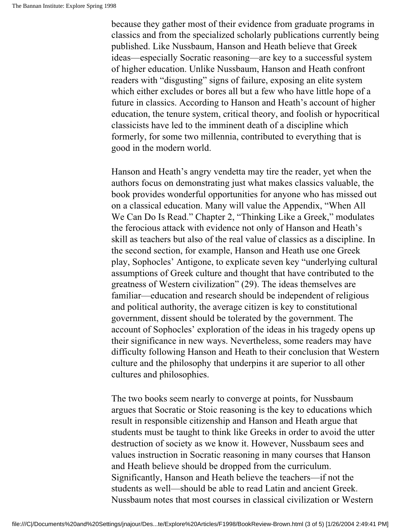because they gather most of their evidence from graduate programs in classics and from the specialized scholarly publications currently being published. Like Nussbaum, Hanson and Heath believe that Greek ideas—especially Socratic reasoning—are key to a successful system of higher education. Unlike Nussbaum, Hanson and Heath confront readers with "disgusting" signs of failure, exposing an elite system which either excludes or bores all but a few who have little hope of a future in classics. According to Hanson and Heath's account of higher education, the tenure system, critical theory, and foolish or hypocritical classicists have led to the imminent death of a discipline which formerly, for some two millennia, contributed to everything that is good in the modern world.

Hanson and Heath's angry vendetta may tire the reader, yet when the authors focus on demonstrating just what makes classics valuable, the book provides wonderful opportunities for anyone who has missed out on a classical education. Many will value the Appendix, "When All We Can Do Is Read." Chapter 2, "Thinking Like a Greek," modulates the ferocious attack with evidence not only of Hanson and Heath's skill as teachers but also of the real value of classics as a discipline. In the second section, for example, Hanson and Heath use one Greek play, Sophocles' Antigone, to explicate seven key "underlying cultural assumptions of Greek culture and thought that have contributed to the greatness of Western civilization" (29). The ideas themselves are familiar—education and research should be independent of religious and political authority, the average citizen is key to constitutional government, dissent should be tolerated by the government. The account of Sophocles' exploration of the ideas in his tragedy opens up their significance in new ways. Nevertheless, some readers may have difficulty following Hanson and Heath to their conclusion that Western culture and the philosophy that underpins it are superior to all other cultures and philosophies.

The two books seem nearly to converge at points, for Nussbaum argues that Socratic or Stoic reasoning is the key to educations which result in responsible citizenship and Hanson and Heath argue that students must be taught to think like Greeks in order to avoid the utter destruction of society as we know it. However, Nussbaum sees and values instruction in Socratic reasoning in many courses that Hanson and Heath believe should be dropped from the curriculum. Significantly, Hanson and Heath believe the teachers—if not the students as well—should be able to read Latin and ancient Greek. Nussbaum notes that most courses in classical civilization or Western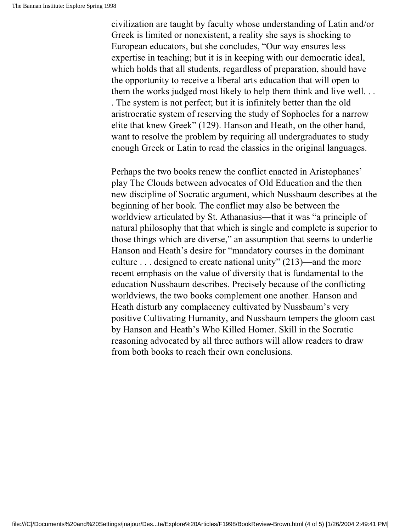civilization are taught by faculty whose understanding of Latin and/or Greek is limited or nonexistent, a reality she says is shocking to European educators, but she concludes, "Our way ensures less expertise in teaching; but it is in keeping with our democratic ideal, which holds that all students, regardless of preparation, should have the opportunity to receive a liberal arts education that will open to them the works judged most likely to help them think and live well. . . . The system is not perfect; but it is infinitely better than the old aristrocratic system of reserving the study of Sophocles for a narrow elite that knew Greek" (129). Hanson and Heath, on the other hand, want to resolve the problem by requiring all undergraduates to study enough Greek or Latin to read the classics in the original languages.

Perhaps the two books renew the conflict enacted in Aristophanes' play The Clouds between advocates of Old Education and the then new discipline of Socratic argument, which Nussbaum describes at the beginning of her book. The conflict may also be between the worldview articulated by St. Athanasius—that it was "a principle of natural philosophy that that which is single and complete is superior to those things which are diverse," an assumption that seems to underlie Hanson and Heath's desire for "mandatory courses in the dominant culture . . . designed to create national unity" (213)—and the more recent emphasis on the value of diversity that is fundamental to the education Nussbaum describes. Precisely because of the conflicting worldviews, the two books complement one another. Hanson and Heath disturb any complacency cultivated by Nussbaum's very positive Cultivating Humanity, and Nussbaum tempers the gloom cast by Hanson and Heath's Who Killed Homer. Skill in the Socratic reasoning advocated by all three authors will allow readers to draw from both books to reach their own conclusions.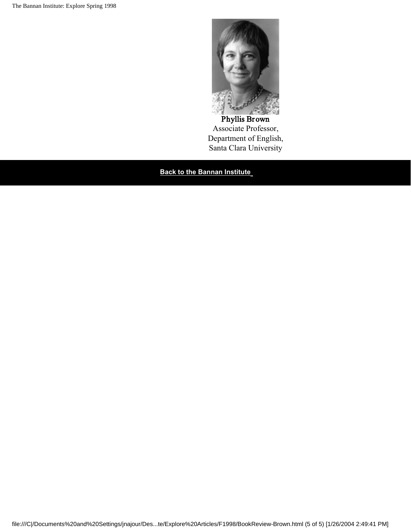

#### Phyllis Brown Associate Professor, Department of English, Santa Clara University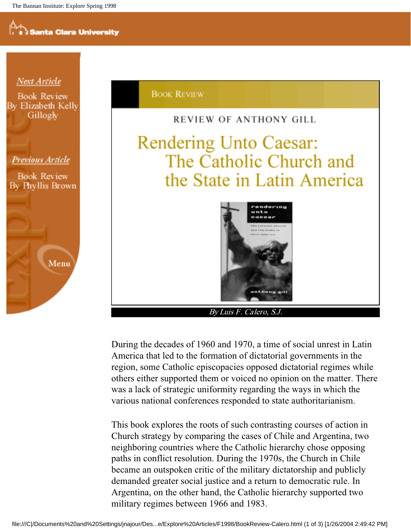

During the decades of 1960 and 1970, a time of social unrest in Latin America that led to the formation of dictatorial governments in the region, some Catholic episcopacies opposed dictatorial regimes while others either supported them or voiced no opinion on the matter. There was a lack of strategic uniformity regarding the ways in which the various national conferences responded to state authoritarianism.

This book explores the roots of such contrasting courses of action in Church strategy by comparing the cases of Chile and Argentina, two neighboring countries where the Catholic hierarchy chose opposing paths in conflict resolution. During the 1970s, the Church in Chile became an outspoken critic of the military dictatorship and publicly demanded greater social justice and a return to democratic rule. In Argentina, on the other hand, the Catholic hierarchy supported two military regimes between 1966 and 1983.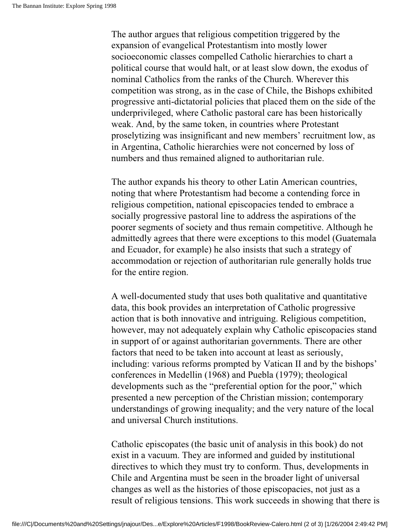The author argues that religious competition triggered by the expansion of evangelical Protestantism into mostly lower socioeconomic classes compelled Catholic hierarchies to chart a political course that would halt, or at least slow down, the exodus of nominal Catholics from the ranks of the Church. Wherever this competition was strong, as in the case of Chile, the Bishops exhibited progressive anti-dictatorial policies that placed them on the side of the underprivileged, where Catholic pastoral care has been historically weak. And, by the same token, in countries where Protestant proselytizing was insignificant and new members' recruitment low, as in Argentina, Catholic hierarchies were not concerned by loss of numbers and thus remained aligned to authoritarian rule.

The author expands his theory to other Latin American countries, noting that where Protestantism had become a contending force in religious competition, national episcopacies tended to embrace a socially progressive pastoral line to address the aspirations of the poorer segments of society and thus remain competitive. Although he admittedly agrees that there were exceptions to this model (Guatemala and Ecuador, for example) he also insists that such a strategy of accommodation or rejection of authoritarian rule generally holds true for the entire region.

A well-documented study that uses both qualitative and quantitative data, this book provides an interpretation of Catholic progressive action that is both innovative and intriguing. Religious competition, however, may not adequately explain why Catholic episcopacies stand in support of or against authoritarian governments. There are other factors that need to be taken into account at least as seriously, including: various reforms prompted by Vatican II and by the bishops' conferences in Medellin (1968) and Puebla (1979); theological developments such as the "preferential option for the poor," which presented a new perception of the Christian mission; contemporary understandings of growing inequality; and the very nature of the local and universal Church institutions.

Catholic episcopates (the basic unit of analysis in this book) do not exist in a vacuum. They are informed and guided by institutional directives to which they must try to conform. Thus, developments in Chile and Argentina must be seen in the broader light of universal changes as well as the histories of those episcopacies, not just as a result of religious tensions. This work succeeds in showing that there is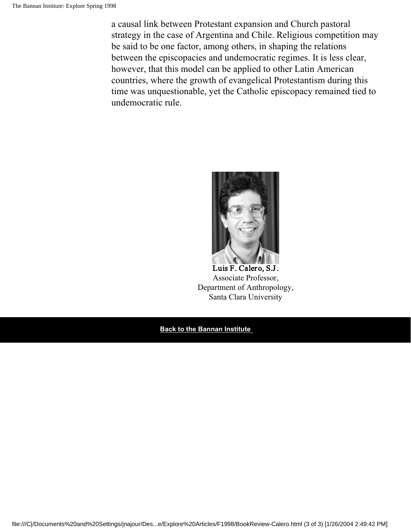a causal link between Protestant expansion and Church pastoral strategy in the case of Argentina and Chile. Religious competition may be said to be one factor, among others, in shaping the relations between the episcopacies and undemocratic regimes. It is less clear, however, that this model can be applied to other Latin American countries, where the growth of evangelical Protestantism during this time was unquestionable, yet the Catholic episcopacy remained tied to undemocratic rule.



#### Luis F. Calero, S.J. Associate Professor, Department of Anthropology, Santa Clara University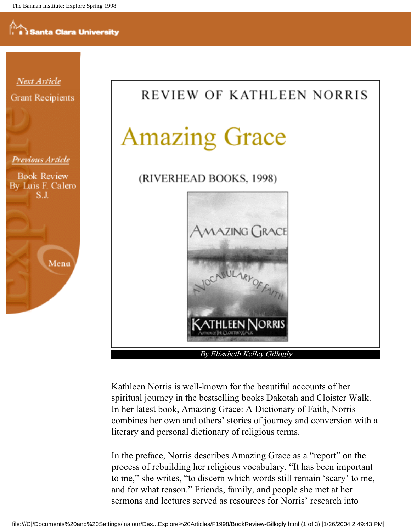

Kathleen Norris is well-known for the beautiful accounts of her spiritual journey in the bestselling books Dakotah and Cloister Walk. In her latest book, Amazing Grace: A Dictionary of Faith, Norris combines her own and others' stories of journey and conversion with a literary and personal dictionary of religious terms.

In the preface, Norris describes Amazing Grace as a "report" on the process of rebuilding her religious vocabulary. "It has been important to me," she writes, "to discern which words still remain 'scary' to me, and for what reason." Friends, family, and people she met at her sermons and lectures served as resources for Norris' research into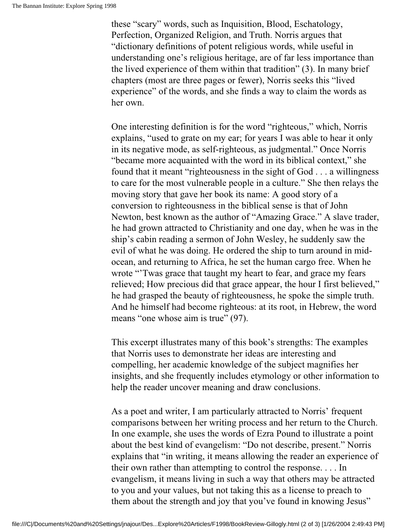these "scary" words, such as Inquisition, Blood, Eschatology, Perfection, Organized Religion, and Truth. Norris argues that "dictionary definitions of potent religious words, while useful in understanding one's religious heritage, are of far less importance than the lived experience of them within that tradition" (3). In many brief chapters (most are three pages or fewer), Norris seeks this "lived experience" of the words, and she finds a way to claim the words as her own.

One interesting definition is for the word "righteous," which, Norris explains, "used to grate on my ear; for years I was able to hear it only in its negative mode, as self-righteous, as judgmental." Once Norris "became more acquainted with the word in its biblical context," she found that it meant "righteousness in the sight of God . . . a willingness to care for the most vulnerable people in a culture." She then relays the moving story that gave her book its name: A good story of a conversion to righteousness in the biblical sense is that of John Newton, best known as the author of "Amazing Grace." A slave trader, he had grown attracted to Christianity and one day, when he was in the ship's cabin reading a sermon of John Wesley, he suddenly saw the evil of what he was doing. He ordered the ship to turn around in midocean, and returning to Africa, he set the human cargo free. When he wrote "Twas grace that taught my heart to fear, and grace my fears relieved; How precious did that grace appear, the hour I first believed," he had grasped the beauty of righteousness, he spoke the simple truth. And he himself had become righteous: at its root, in Hebrew, the word means "one whose aim is true" (97).

This excerpt illustrates many of this book's strengths: The examples that Norris uses to demonstrate her ideas are interesting and compelling, her academic knowledge of the subject magnifies her insights, and she frequently includes etymology or other information to help the reader uncover meaning and draw conclusions.

As a poet and writer, I am particularly attracted to Norris' frequent comparisons between her writing process and her return to the Church. In one example, she uses the words of Ezra Pound to illustrate a point about the best kind of evangelism: "Do not describe, present." Norris explains that "in writing, it means allowing the reader an experience of their own rather than attempting to control the response. . . . In evangelism, it means living in such a way that others may be attracted to you and your values, but not taking this as a license to preach to them about the strength and joy that you've found in knowing Jesus"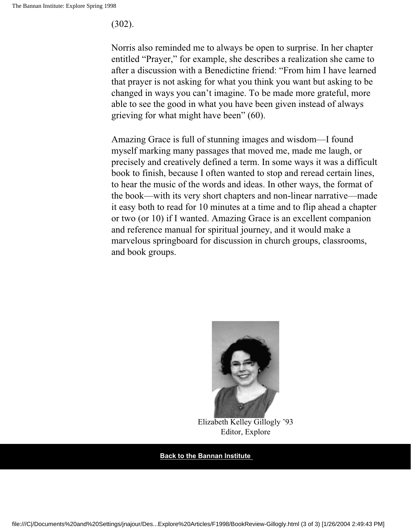(302).

Norris also reminded me to always be open to surprise. In her chapter entitled "Prayer," for example, she describes a realization she came to after a discussion with a Benedictine friend: "From him I have learned that prayer is not asking for what you think you want but asking to be changed in ways you can't imagine. To be made more grateful, more able to see the good in what you have been given instead of always grieving for what might have been" (60).

Amazing Grace is full of stunning images and wisdom—I found myself marking many passages that moved me, made me laugh, or precisely and creatively defined a term. In some ways it was a difficult book to finish, because I often wanted to stop and reread certain lines, to hear the music of the words and ideas. In other ways, the format of the book—with its very short chapters and non-linear narrative—made it easy both to read for 10 minutes at a time and to flip ahead a chapter or two (or 10) if I wanted. Amazing Grace is an excellent companion and reference manual for spiritual journey, and it would make a marvelous springboard for discussion in church groups, classrooms, and book groups.



Elizabeth Kelley Gillogly '93 Editor, Explore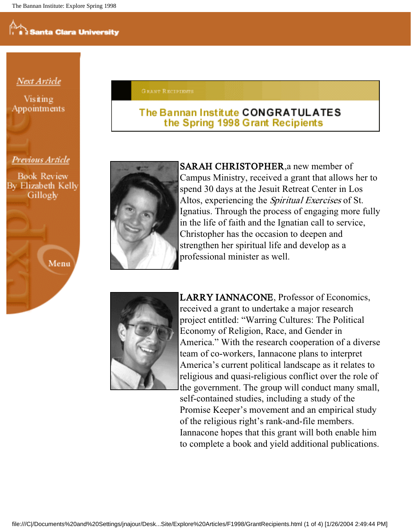#### Next Article

Visiting Appointments **GRANT RECIPIENTS** 

#### The Bannan Institute CONGRATULATES the Spring 1998 Grant Recipients

Previous Article

**Book Review** By Elizabeth Kelly Gillogly

Menu



SARAH CHRISTOPHER,a new member of Campus Ministry, received a grant that allows her to spend 30 days at the Jesuit Retreat Center in Los Altos, experiencing the *Spiritual Exercises* of St. Ignatius. Through the process of engaging more fully in the life of faith and the Ignatian call to service, Christopher has the occasion to deepen and strengthen her spiritual life and develop as a professional minister as well.



LARRY IANNACONE, Professor of Economics, received a grant to undertake a major research project entitled: "Warring Cultures: The Political Economy of Religion, Race, and Gender in America." With the research cooperation of a diverse team of co-workers, Iannacone plans to interpret America's current political landscape as it relates to religious and quasi-religious conflict over the role of the government. The group will conduct many small, self-contained studies, including a study of the Promise Keeper's movement and an empirical study of the religious right's rank-and-file members. Iannacone hopes that this grant will both enable him to complete a book and yield additional publications.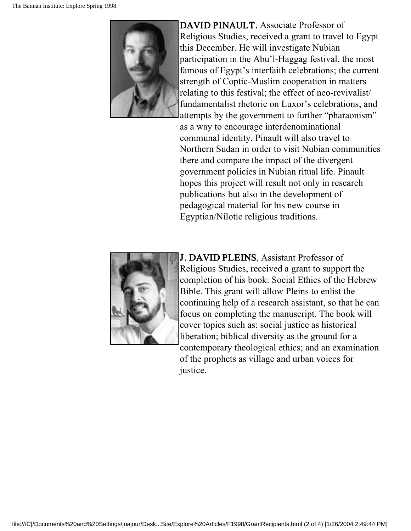

DAVID PINAULT, Associate Professor of Religious Studies, received a grant to travel to Egypt this December. He will investigate Nubian participation in the Abu'l-Haggag festival, the most famous of Egypt's interfaith celebrations; the current strength of Coptic-Muslim cooperation in matters relating to this festival; the effect of neo-revivalist/ fundamentalist rhetoric on Luxor's celebrations; and attempts by the government to further "pharaonism" as a way to encourage interdenominational communal identity. Pinault will also travel to Northern Sudan in order to visit Nubian communities there and compare the impact of the divergent government policies in Nubian ritual life. Pinault hopes this project will result not only in research publications but also in the development of pedagogical material for his new course in Egyptian/Nilotic religious traditions.



J. DAVID PLEINS, Assistant Professor of Religious Studies, received a grant to support the completion of his book: Social Ethics of the Hebrew Bible. This grant will allow Pleins to enlist the continuing help of a research assistant, so that he can focus on completing the manuscript. The book will cover topics such as: social justice as historical liberation; biblical diversity as the ground for a contemporary theological ethics; and an examination of the prophets as village and urban voices for justice.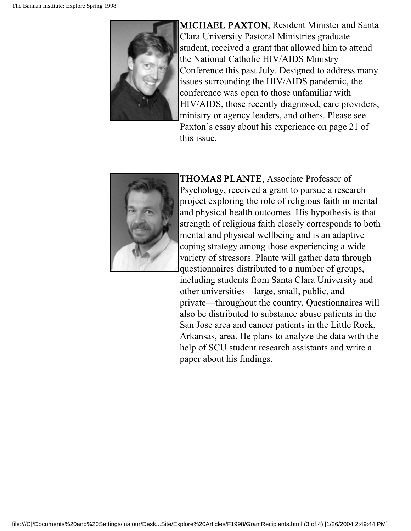

MICHAEL PAXTON, Resident Minister and Santa Clara University Pastoral Ministries graduate student, received a grant that allowed him to attend the National Catholic HIV/AIDS Ministry Conference this past July. Designed to address many issues surrounding the HIV/AIDS pandemic, the conference was open to those unfamiliar with HIV/AIDS, those recently diagnosed, care providers, ministry or agency leaders, and others. Please see Paxton's essay about his experience on page 21 of this issue.



THOMAS PLANTE, Associate Professor of Psychology, received a grant to pursue a research project exploring the role of religious faith in mental and physical health outcomes. His hypothesis is that strength of religious faith closely corresponds to both mental and physical wellbeing and is an adaptive coping strategy among those experiencing a wide variety of stressors. Plante will gather data through questionnaires distributed to a number of groups, including students from Santa Clara University and other universities—large, small, public, and private—throughout the country. Questionnaires will also be distributed to substance abuse patients in the San Jose area and cancer patients in the Little Rock, Arkansas, area. He plans to analyze the data with the help of SCU student research assistants and write a paper about his findings.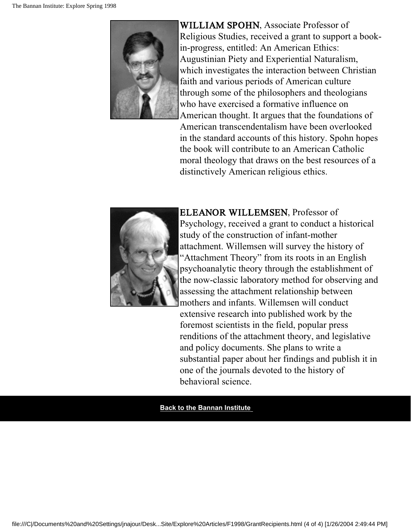

WILLIAM SPOHN, Associate Professor of Religious Studies, received a grant to support a bookin-progress, entitled: An American Ethics: Augustinian Piety and Experiential Naturalism, which investigates the interaction between Christian faith and various periods of American culture through some of the philosophers and theologians who have exercised a formative influence on American thought. It argues that the foundations of

American transcendentalism have been overlooked in the standard accounts of this history. Spohn hopes the book will contribute to an American Catholic moral theology that draws on the best resources of a distinctively American religious ethics.



ELEANOR WILLEMSEN, Professor of Psychology, received a grant to conduct a historical study of the construction of infant-mother attachment. Willemsen will survey the history of "Attachment Theory" from its roots in an English psychoanalytic theory through the establishment of the now-classic laboratory method for observing and assessing the attachment relationship between mothers and infants. Willemsen will conduct

extensive research into published work by the foremost scientists in the field, popular press renditions of the attachment theory, and legislative and policy documents. She plans to write a substantial paper about her findings and publish it in one of the journals devoted to the history of behavioral science.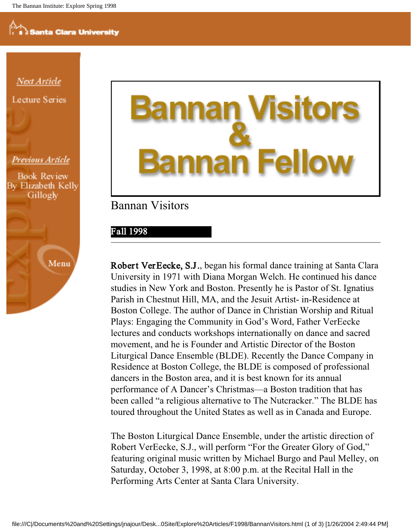<u>Next Article</u> **Lecture Series** 

#### Previous Article

**Book Review** By Elizabeth Kelly Gillogly



# Fe an

#### Bannan Visitors

#### Fall 1998

Robert VerEecke, S.J., began his formal dance training at Santa Clara University in 1971 with Diana Morgan Welch. He continued his dance studies in New York and Boston. Presently he is Pastor of St. Ignatius Parish in Chestnut Hill, MA, and the Jesuit Artist- in-Residence at Boston College. The author of Dance in Christian Worship and Ritual Plays: Engaging the Community in God's Word, Father VerEecke lectures and conducts workshops internationally on dance and sacred movement, and he is Founder and Artistic Director of the Boston Liturgical Dance Ensemble (BLDE). Recently the Dance Company in Residence at Boston College, the BLDE is composed of professional dancers in the Boston area, and it is best known for its annual performance of A Dancer's Christmas—a Boston tradition that has been called "a religious alternative to The Nutcracker." The BLDE has toured throughout the United States as well as in Canada and Europe.

The Boston Liturgical Dance Ensemble, under the artistic direction of Robert VerEecke, S.J., will perform "For the Greater Glory of God," featuring original music written by Michael Burgo and Paul Melley, on Saturday, October 3, 1998, at 8:00 p.m. at the Recital Hall in the Performing Arts Center at Santa Clara University.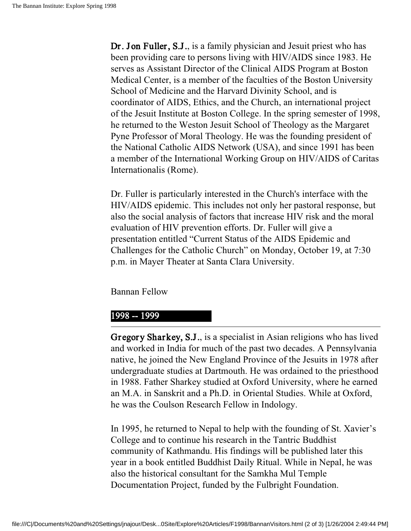Dr. Jon Fuller, S.J., is a family physician and Jesuit priest who has been providing care to persons living with HIV/AIDS since 1983. He serves as Assistant Director of the Clinical AIDS Program at Boston Medical Center, is a member of the faculties of the Boston University School of Medicine and the Harvard Divinity School, and is coordinator of AIDS, Ethics, and the Church, an international project of the Jesuit Institute at Boston College. In the spring semester of 1998, he returned to the Weston Jesuit School of Theology as the Margaret Pyne Professor of Moral Theology. He was the founding president of the National Catholic AIDS Network (USA), and since 1991 has been a member of the International Working Group on HIV/AIDS of Caritas Internationalis (Rome).

Dr. Fuller is particularly interested in the Church's interface with the HIV/AIDS epidemic. This includes not only her pastoral response, but also the social analysis of factors that increase HIV risk and the moral evaluation of HIV prevention efforts. Dr. Fuller will give a presentation entitled "Current Status of the AIDS Epidemic and Challenges for the Catholic Church" on Monday, October 19, at 7:30 p.m. in Mayer Theater at Santa Clara University.

Bannan Fellow

#### 1998 -- 1999

Gr egory Sharkey, S.J., is a specialist in Asian religions who has lived and worked in India for much of the past two decades. A Pennsylvania native, he joined the New England Province of the Jesuits in 1978 after undergraduate studies at Dartmouth. He was ordained to the priesthood in 1988. Father Sharkey studied at Oxford University, where he earned an M.A. in Sanskrit and a Ph.D. in Oriental Studies. While at Oxford, he was the Coulson Research Fellow in Indology.

In 1995, he returned to Nepal to help with the founding of St. Xavier's College and to continue his research in the Tantric Buddhist community of Kathmandu. His findings will be published later this year in a book entitled Buddhist Daily Ritual. While in Nepal, he was also the historical consultant for the Samkha Mul Temple Documentation Project, funded by the Fulbright Foundation.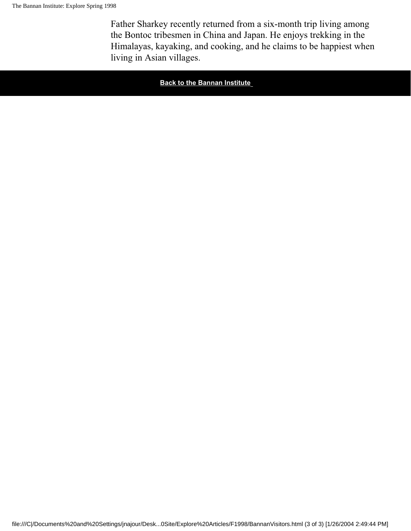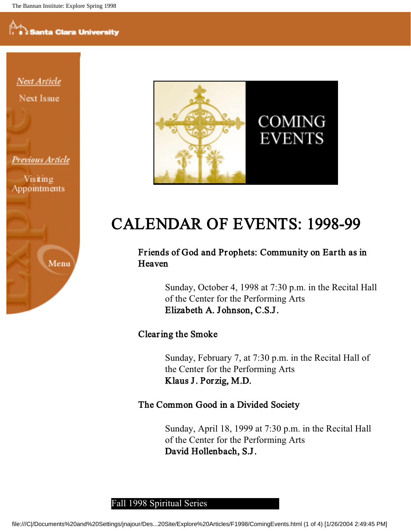Next Article Next Issue

Previous Article

Visiting Appointments





## CALENDAR OF EVENTS: 1998-99

#### Friends of God and Prophets: Community on Earth as in Heaven

Sunday, October 4, 1998 at 7:30 p.m. in the Recital Hall of the Center for the Performing Arts Elizabeth A. Johnson, C.S.J.

#### Clearing the Smoke

Sunday, February 7, at 7:30 p.m. in the Recital Hall of the Center for the Performing Arts Klaus J. Por zig, M.D.

#### The Common Good in a Divided Society

Sunday, April 18, 1999 at 7:30 p.m. in the Recital Hall of the Center for the Performing Arts David Hollenbach, S.J.

#### Fall 1998 Spiritual Series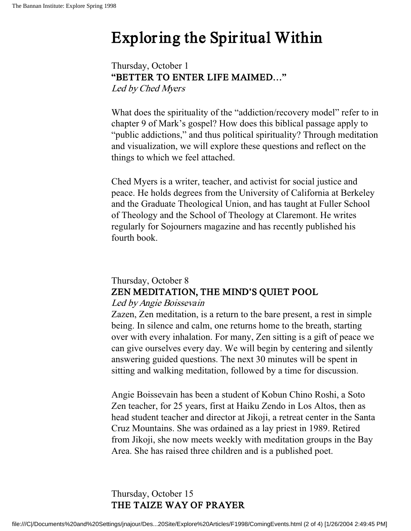## Exploring the Spiritual Within

Thursday, October 1 "BETTER TO ENTER LIFE MAIMED…" Led by Ched Myers

What does the spirituality of the "addiction/recovery model" refer to in chapter 9 of Mark's gospel? How does this biblical passage apply to "public addictions," and thus political spirituality? Through meditation and visualization, we will explore these questions and reflect on the things to which we feel attached.

Ched Myers is a writer, teacher, and activist for social justice and peace. He holds degrees from the University of California at Berkeley and the Graduate Theological Union, and has taught at Fuller School of Theology and the School of Theology at Claremont. He writes regularly for Sojourners magazine and has recently published his fourth book.

#### Thursday, October 8 ZEN MEDITATION, THE MIND'S QUIET POOL

#### Led by Angie Boissevain

Zazen, Zen meditation, is a return to the bare present, a rest in simple being. In silence and calm, one returns home to the breath, starting over with every inhalation. For many, Zen sitting is a gift of peace we can give ourselves every day. We will begin by centering and silently answering guided questions. The next 30 minutes will be spent in sitting and walking meditation, followed by a time for discussion.

Angie Boissevain has been a student of Kobun Chino Roshi, a Soto Zen teacher, for 25 years, first at Haiku Zendo in Los Altos, then as head student teacher and director at Jikoji, a retreat center in the Santa Cruz Mountains. She was ordained as a lay priest in 1989. Retired from Jikoji, she now meets weekly with meditation groups in the Bay Area. She has raised three children and is a published poet.

Thursday, October 15 THE TAIZE WAY OF PRAYER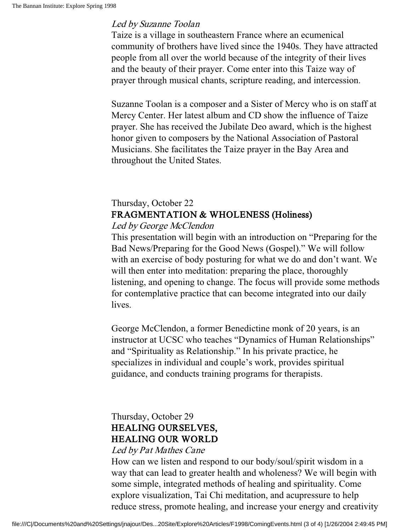#### Led by Suzanne Toolan

Taize is a village in southeastern France where an ecumenical community of brothers have lived since the 1940s. They have attracted people from all over the world because of the integrity of their lives and the beauty of their prayer. Come enter into this Taize way of prayer through musical chants, scripture reading, and intercession.

Suzanne Toolan is a composer and a Sister of Mercy who is on staff at Mercy Center. Her latest album and CD show the influence of Taize prayer. She has received the Jubilate Deo award, which is the highest honor given to composers by the National Association of Pastoral Musicians. She facilitates the Taize prayer in the Bay Area and throughout the United States.

#### Thursday, October 22 FRAGMENTATION & WHOLENESS (Holiness)

#### Led by George McClendon

This presentation will begin with an introduction on "Preparing for the Bad News/Preparing for the Good News (Gospel)." We will follow with an exercise of body posturing for what we do and don't want. We will then enter into meditation: preparing the place, thoroughly listening, and opening to change. The focus will provide some methods for contemplative practice that can become integrated into our daily lives.

George McClendon, a former Benedictine monk of 20 years, is an instructor at UCSC who teaches "Dynamics of Human Relationships" and "Spirituality as Relationship." In his private practice, he specializes in individual and couple's work, provides spiritual guidance, and conducts training programs for therapists.

#### Thursday, October 29 HEALING OURSELVES, HEALING OUR WORLD

#### Led by Pat Mathes Cane

How can we listen and respond to our body/soul/spirit wisdom in a way that can lead to greater health and wholeness? We will begin with some simple, integrated methods of healing and spirituality. Come explore visualization, Tai Chi meditation, and acupressure to help reduce stress, promote healing, and increase your energy and creativity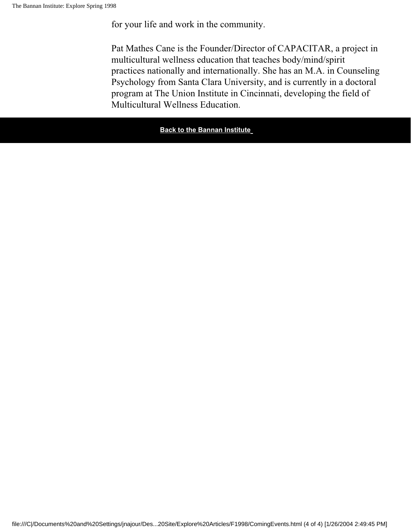#### for your life and work in the community.

Pat Mathes Cane is the Founder/Director of CAPACITAR, a project in multicultural wellness education that teaches body/mind/spirit practices nationally and internationally. She has an M.A. in Counseling Psychology from Santa Clara University, and is currently in a doctoral program at The Union Institute in Cincinnati, developing the field of Multicultural Wellness Education.